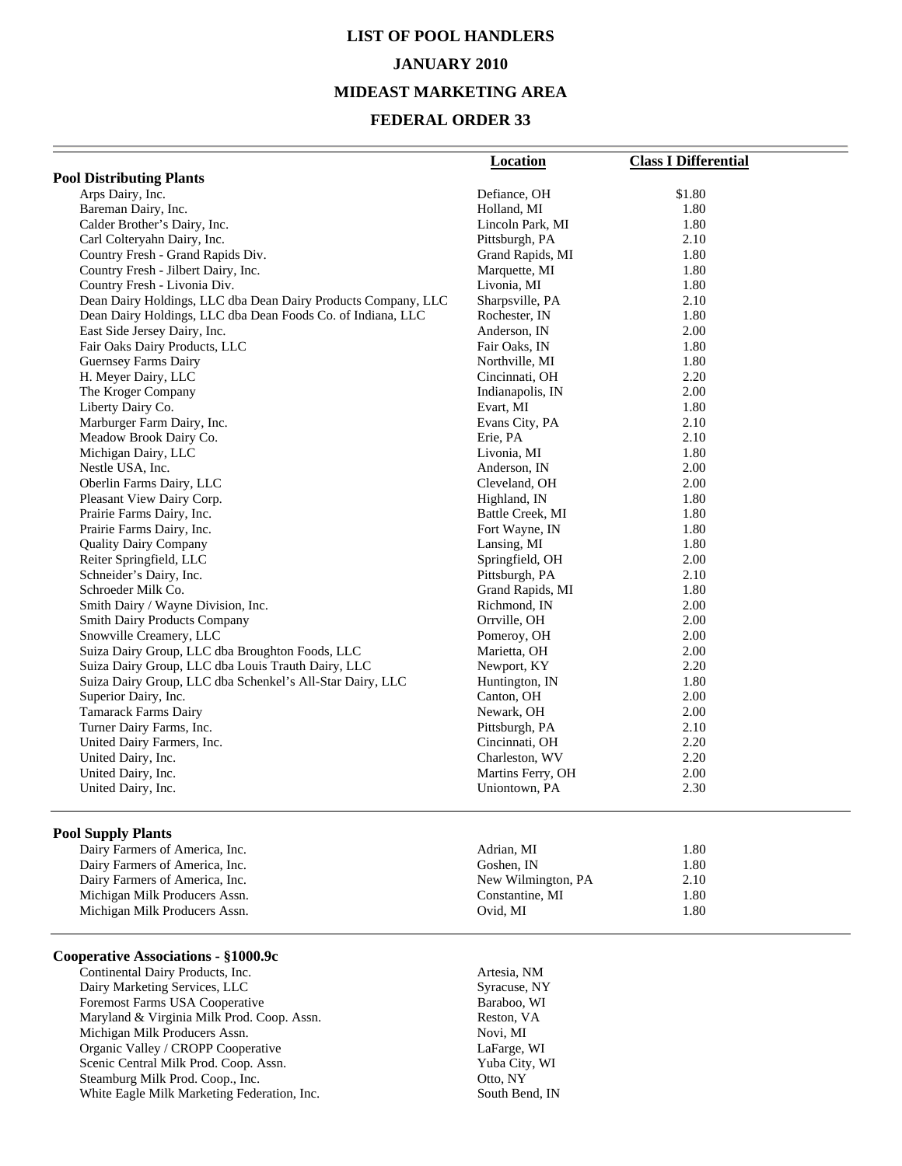### **LIST OF POOL HANDLERS JANUARY 2010 MIDEAST MARKETING AREA**

#### **FEDERAL ORDER 33**

|                                                               | <b>Location</b>   | <b>Class I Differential</b> |
|---------------------------------------------------------------|-------------------|-----------------------------|
| <b>Pool Distributing Plants</b>                               |                   |                             |
| Arps Dairy, Inc.                                              | Defiance, OH      | \$1.80                      |
| Bareman Dairy, Inc.                                           | Holland, MI       | 1.80                        |
| Calder Brother's Dairy, Inc.                                  | Lincoln Park, MI  | 1.80                        |
| Carl Colteryahn Dairy, Inc.                                   | Pittsburgh, PA    | 2.10                        |
| Country Fresh - Grand Rapids Div.                             | Grand Rapids, MI  | 1.80                        |
| Country Fresh - Jilbert Dairy, Inc.                           | Marquette, MI     | 1.80                        |
| Country Fresh - Livonia Div.                                  | Livonia, MI       | 1.80                        |
| Dean Dairy Holdings, LLC dba Dean Dairy Products Company, LLC | Sharpsville, PA   | 2.10                        |
| Dean Dairy Holdings, LLC dba Dean Foods Co. of Indiana, LLC   | Rochester, IN     | 1.80                        |
| East Side Jersey Dairy, Inc.                                  | Anderson, IN      | 2.00                        |
| Fair Oaks Dairy Products, LLC                                 | Fair Oaks, IN     | 1.80                        |
| <b>Guernsey Farms Dairy</b>                                   | Northville, MI    | 1.80                        |
| H. Meyer Dairy, LLC                                           | Cincinnati, OH    | 2.20                        |
| The Kroger Company                                            | Indianapolis, IN  | 2.00                        |
| Liberty Dairy Co.                                             | Evart, MI         | 1.80                        |
| Marburger Farm Dairy, Inc.                                    | Evans City, PA    | 2.10                        |
| Meadow Brook Dairy Co.                                        | Erie, PA          | 2.10                        |
| Michigan Dairy, LLC                                           | Livonia, MI       | 1.80                        |
| Nestle USA, Inc.                                              | Anderson, IN      | 2.00                        |
| Oberlin Farms Dairy, LLC                                      | Cleveland, OH     | 2.00                        |
| Pleasant View Dairy Corp.                                     | Highland, IN      | 1.80                        |
| Prairie Farms Dairy, Inc.                                     | Battle Creek, MI  | 1.80                        |
| Prairie Farms Dairy, Inc.                                     | Fort Wayne, IN    | 1.80                        |
| <b>Quality Dairy Company</b>                                  | Lansing, MI       | 1.80                        |
| Reiter Springfield, LLC                                       | Springfield, OH   | 2.00                        |
| Schneider's Dairy, Inc.                                       | Pittsburgh, PA    | 2.10                        |
| Schroeder Milk Co.                                            | Grand Rapids, MI  | 1.80                        |
| Smith Dairy / Wayne Division, Inc.                            | Richmond, IN      | 2.00                        |
| <b>Smith Dairy Products Company</b>                           | Orrville, OH      | 2.00                        |
| Snowville Creamery, LLC                                       | Pomeroy, OH       | 2.00                        |
| Suiza Dairy Group, LLC dba Broughton Foods, LLC               | Marietta, OH      | 2.00                        |
| Suiza Dairy Group, LLC dba Louis Trauth Dairy, LLC            | Newport, KY       | 2.20                        |
| Suiza Dairy Group, LLC dba Schenkel's All-Star Dairy, LLC     | Huntington, IN    | 1.80                        |
| Superior Dairy, Inc.                                          | Canton, OH        | 2.00                        |
| <b>Tamarack Farms Dairy</b>                                   | Newark, OH        | 2.00                        |
| Turner Dairy Farms, Inc.                                      | Pittsburgh, PA    | 2.10                        |
| United Dairy Farmers, Inc.                                    | Cincinnati, OH    | 2.20                        |
| United Dairy, Inc.                                            | Charleston, WV    | 2.20                        |
| United Dairy, Inc.                                            | Martins Ferry, OH | 2.00                        |
| United Dairy, Inc.                                            | Uniontown, PA     | 2.30                        |
|                                                               |                   |                             |

#### **Pool Supply Plants**

| Dairy Farmers of America, Inc. | Adrian, MI         | 1.80 |
|--------------------------------|--------------------|------|
| Dairy Farmers of America, Inc. | Goshen. IN         | 1.80 |
| Dairy Farmers of America, Inc. | New Wilmington, PA | 2.10 |
| Michigan Milk Producers Assn.  | Constantine, MI    | 1.80 |
| Michigan Milk Producers Assn.  | Ovid. MI           | 1.80 |
|                                |                    |      |

#### **Cooperative Associations - §1000.9c**

Continental Dairy Products, Inc.<br>
Dairy Marketing Services, LLC<br>
Syracuse, NY Dairy Marketing Services, LLC Foremost Farms USA Cooperative Baraboo, WI Maryland & Virginia Milk Prod. Coop. Assn. Reston, VA Michigan Milk Producers Assn. Novi, MI<br>
Organic Valley / CROPP Cooperative LaFarge, WI Organic Valley / CROPP Cooperative LaFarge, WI<br>
Scenic Central Milk Prod. Coop. Assn. Yuba City, WI Scenic Central Milk Prod. Coop. Assn. Yuba City, Yuba City, Steamburg Milk Prod. Coop., Inc. (2007) Steamburg Milk Prod. Coop., Inc. 699 (Otto, NY Uther Bagle Milk Marketing Federation, Inc. 69) (South Bend, IN White Eagle Milk Marketing Federation, Inc.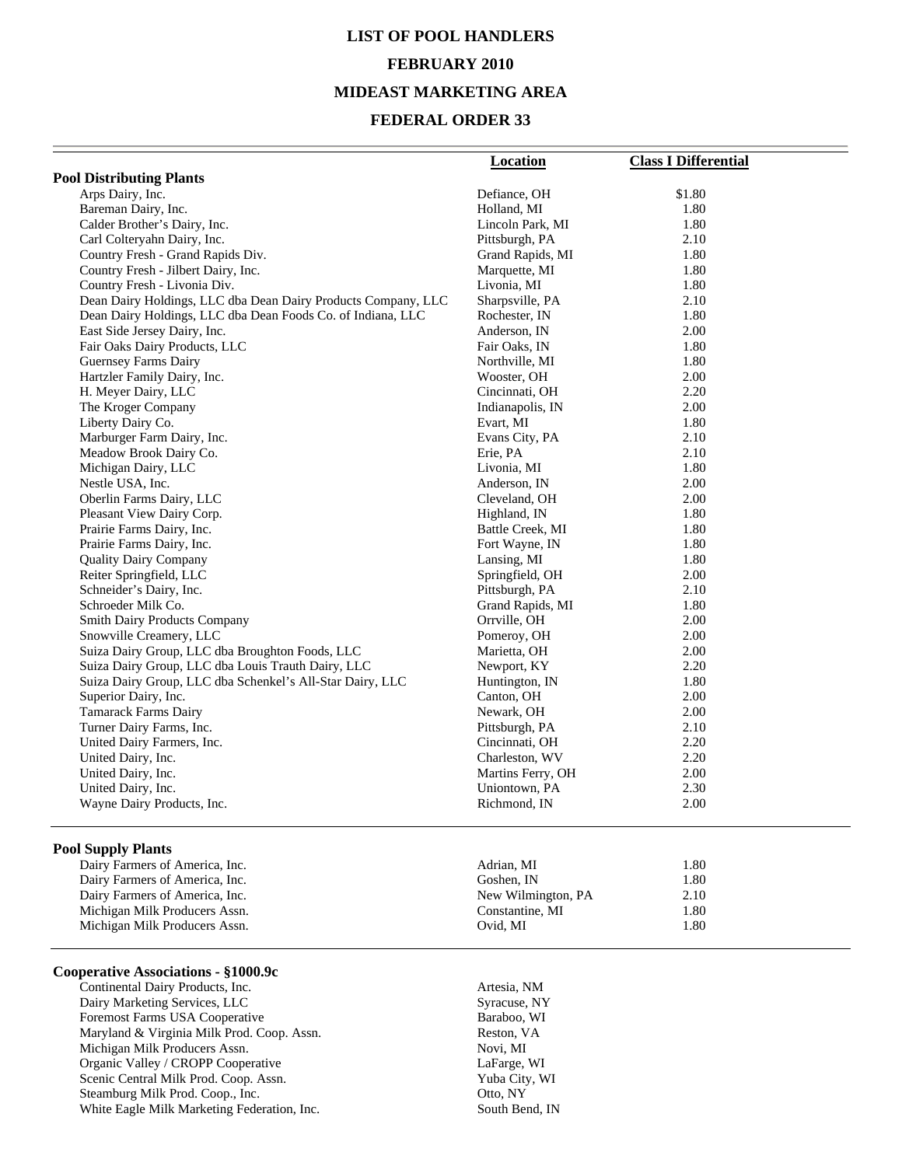# **LIST OF POOL HANDLERS FEBRUARY 2010 MIDEAST MARKETING AREA**

#### **FEDERAL ORDER 33**

|                                                               | Location          | <b>Class I Differential</b> |
|---------------------------------------------------------------|-------------------|-----------------------------|
| <b>Pool Distributing Plants</b>                               |                   |                             |
| Arps Dairy, Inc.                                              | Defiance, OH      | \$1.80                      |
| Bareman Dairy, Inc.                                           | Holland, MI       | 1.80                        |
| Calder Brother's Dairy, Inc.                                  | Lincoln Park, MI  | 1.80                        |
| Carl Colteryahn Dairy, Inc.                                   | Pittsburgh, PA    | 2.10                        |
| Country Fresh - Grand Rapids Div.                             | Grand Rapids, MI  | 1.80                        |
| Country Fresh - Jilbert Dairy, Inc.                           | Marquette, MI     | 1.80                        |
| Country Fresh - Livonia Div.                                  | Livonia, MI       | 1.80                        |
| Dean Dairy Holdings, LLC dba Dean Dairy Products Company, LLC | Sharpsville, PA   | 2.10                        |
| Dean Dairy Holdings, LLC dba Dean Foods Co. of Indiana, LLC   | Rochester, IN     | 1.80                        |
| East Side Jersey Dairy, Inc.                                  | Anderson, IN      | 2.00                        |
| Fair Oaks Dairy Products, LLC                                 | Fair Oaks, IN     | 1.80                        |
| <b>Guernsey Farms Dairy</b>                                   | Northville, MI    | 1.80                        |
| Hartzler Family Dairy, Inc.                                   | Wooster, OH       | 2.00                        |
| H. Meyer Dairy, LLC                                           | Cincinnati, OH    | 2.20                        |
| The Kroger Company                                            | Indianapolis, IN  | 2.00                        |
| Liberty Dairy Co.                                             | Evart, MI         | 1.80                        |
| Marburger Farm Dairy, Inc.                                    | Evans City, PA    | 2.10                        |
| Meadow Brook Dairy Co.                                        | Erie, PA          | 2.10                        |
| Michigan Dairy, LLC                                           | Livonia, MI       | 1.80                        |
| Nestle USA, Inc.                                              | Anderson, IN      | 2.00                        |
| Oberlin Farms Dairy, LLC                                      | Cleveland, OH     | 2.00                        |
| Pleasant View Dairy Corp.                                     | Highland, IN      | 1.80                        |
| Prairie Farms Dairy, Inc.                                     | Battle Creek, MI  | 1.80                        |
| Prairie Farms Dairy, Inc.                                     | Fort Wayne, IN    | 1.80                        |
| <b>Quality Dairy Company</b>                                  | Lansing, MI       | 1.80                        |
| Reiter Springfield, LLC                                       | Springfield, OH   | 2.00                        |
| Schneider's Dairy, Inc.                                       | Pittsburgh, PA    | 2.10                        |
| Schroeder Milk Co.                                            | Grand Rapids, MI  | 1.80                        |
| <b>Smith Dairy Products Company</b>                           | Orrville, OH      | 2.00                        |
| Snowville Creamery, LLC                                       | Pomeroy, OH       | 2.00                        |
| Suiza Dairy Group, LLC dba Broughton Foods, LLC               | Marietta, OH      | 2.00                        |
| Suiza Dairy Group, LLC dba Louis Trauth Dairy, LLC            | Newport, KY       | 2.20                        |
| Suiza Dairy Group, LLC dba Schenkel's All-Star Dairy, LLC     | Huntington, IN    | 1.80                        |
| Superior Dairy, Inc.                                          | Canton, OH        | 2.00                        |
| <b>Tamarack Farms Dairy</b>                                   | Newark, OH        | 2.00                        |
| Turner Dairy Farms, Inc.                                      | Pittsburgh, PA    | 2.10                        |
| United Dairy Farmers, Inc.                                    | Cincinnati, OH    | 2.20                        |
| United Dairy, Inc.                                            | Charleston, WV    | 2.20                        |
| United Dairy, Inc.                                            | Martins Ferry, OH | 2.00                        |
| United Dairy, Inc.                                            | Uniontown, PA     | 2.30                        |
| Wayne Dairy Products, Inc.                                    | Richmond, IN      | 2.00                        |

#### **Pool Supply Plants**

Michigan Milk Producers Assn.

#### **Cooperative Associations - §1000.9c**

Continental Dairy Products, Inc. 47 (2012) Artesia, NM Dairy Marketing Services, LLC Syracuse, NY Foremost Farms USA Cooperative Baraboo, WI Maryland & Virginia Milk Prod. Coop. Assn. Reston, VA Michigan Milk Producers Assn. Novi, MI Organic Valley / CROPP Cooperative LaFarge, WI Scenic Central Milk Prod. Coop. Assn. Yuba City, Yuba City, Steamburg Milk Prod. Coop., Inc. Otto, NY Steamburg Milk Prod. Coop., Inc. Otto, NY White Eagle Milk Marketing Federation, Inc.

Dairy Farmers of America, Inc. 6. 2012 1.80 Adrian, MI 1.80 Dairy Farmers of America, Inc. 6. 1.80<br>
Dairy Farmers of America, Inc. 6. 1.80<br>
2.10<br>
2.10 Dairy Farmers of America, Inc. New Wilmington, PA 2.10 Michigan Milk Producers Assn. Ovid, MI 1.80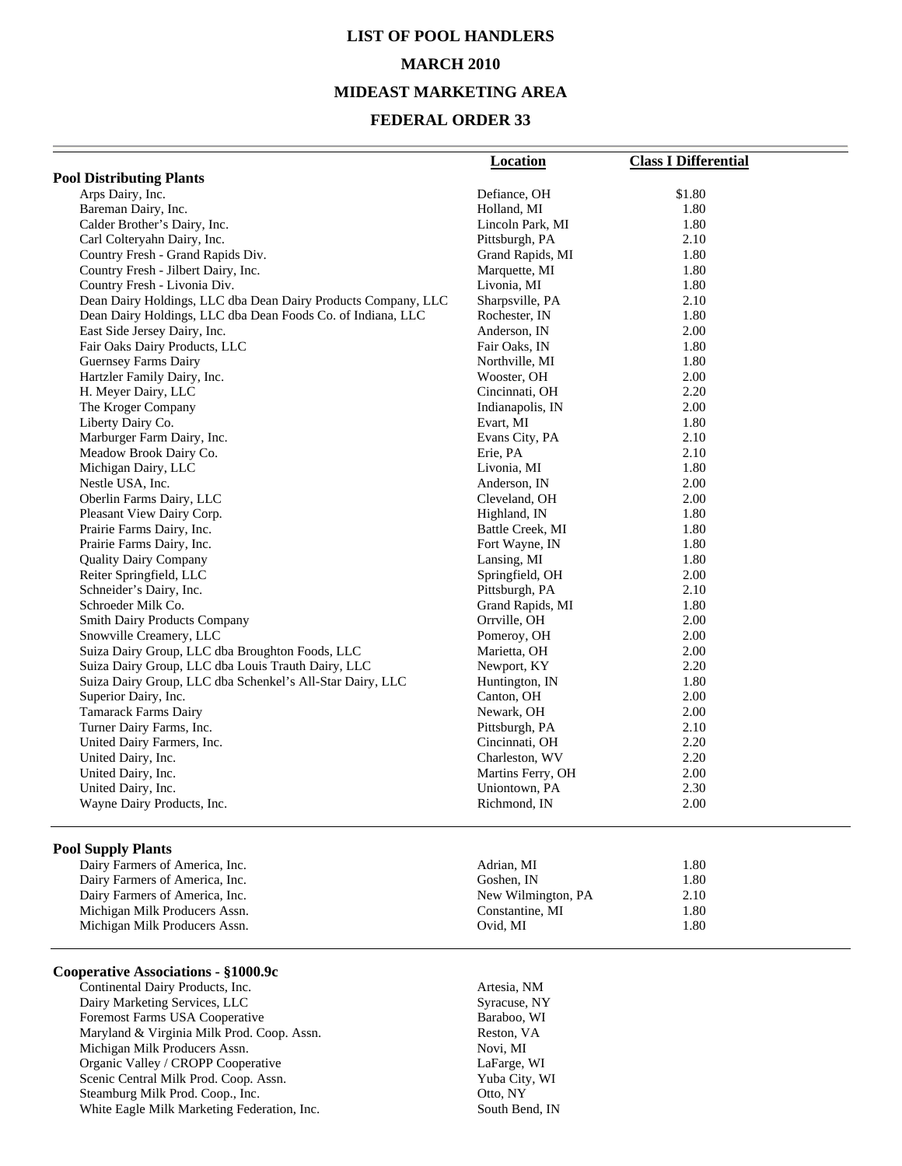# **LIST OF POOL HANDLERS MARCH 2010 MIDEAST MARKETING AREA**

#### **FEDERAL ORDER 33**

|                                                               | <b>Location</b>   | <b>Class I Differential</b> |
|---------------------------------------------------------------|-------------------|-----------------------------|
| <b>Pool Distributing Plants</b>                               |                   |                             |
| Arps Dairy, Inc.                                              | Defiance, OH      | \$1.80                      |
| Bareman Dairy, Inc.                                           | Holland, MI       | 1.80                        |
| Calder Brother's Dairy, Inc.                                  | Lincoln Park, MI  | 1.80                        |
| Carl Colteryahn Dairy, Inc.                                   | Pittsburgh, PA    | 2.10                        |
| Country Fresh - Grand Rapids Div.                             | Grand Rapids, MI  | 1.80                        |
| Country Fresh - Jilbert Dairy, Inc.                           | Marquette, MI     | 1.80                        |
| Country Fresh - Livonia Div.                                  | Livonia, MI       | 1.80                        |
| Dean Dairy Holdings, LLC dba Dean Dairy Products Company, LLC | Sharpsville, PA   | 2.10                        |
| Dean Dairy Holdings, LLC dba Dean Foods Co. of Indiana, LLC   | Rochester, IN     | 1.80                        |
| East Side Jersey Dairy, Inc.                                  | Anderson, IN      | 2.00                        |
| Fair Oaks Dairy Products, LLC                                 | Fair Oaks, IN     | 1.80                        |
| <b>Guernsey Farms Dairy</b>                                   | Northville, MI    | 1.80                        |
| Hartzler Family Dairy, Inc.                                   | Wooster, OH       | 2.00                        |
| H. Meyer Dairy, LLC                                           | Cincinnati, OH    | 2.20                        |
| The Kroger Company                                            | Indianapolis, IN  | 2.00                        |
| Liberty Dairy Co.                                             | Evart, MI         | 1.80                        |
| Marburger Farm Dairy, Inc.                                    | Evans City, PA    | 2.10                        |
| Meadow Brook Dairy Co.                                        | Erie, PA          | 2.10                        |
| Michigan Dairy, LLC                                           | Livonia, MI       | 1.80                        |
| Nestle USA, Inc.                                              | Anderson, IN      | 2.00                        |
| Oberlin Farms Dairy, LLC                                      | Cleveland, OH     | 2.00                        |
| Pleasant View Dairy Corp.                                     | Highland, IN      | 1.80                        |
| Prairie Farms Dairy, Inc.                                     | Battle Creek, MI  | 1.80                        |
| Prairie Farms Dairy, Inc.                                     | Fort Wayne, IN    | 1.80                        |
| <b>Quality Dairy Company</b>                                  | Lansing, MI       | 1.80                        |
| Reiter Springfield, LLC                                       | Springfield, OH   | 2.00                        |
| Schneider's Dairy, Inc.                                       | Pittsburgh, PA    | 2.10                        |
| Schroeder Milk Co.                                            | Grand Rapids, MI  | 1.80                        |
| <b>Smith Dairy Products Company</b>                           | Orrville, OH      | 2.00                        |
| Snowville Creamery, LLC                                       | Pomeroy, OH       | 2.00                        |
| Suiza Dairy Group, LLC dba Broughton Foods, LLC               | Marietta, OH      | 2.00                        |
| Suiza Dairy Group, LLC dba Louis Trauth Dairy, LLC            | Newport, KY       | 2.20                        |
| Suiza Dairy Group, LLC dba Schenkel's All-Star Dairy, LLC     | Huntington, IN    | 1.80                        |
| Superior Dairy, Inc.                                          | Canton, OH        | 2.00                        |
| <b>Tamarack Farms Dairy</b>                                   | Newark, OH        | 2.00                        |
| Turner Dairy Farms, Inc.                                      | Pittsburgh, PA    | 2.10                        |
| United Dairy Farmers, Inc.                                    | Cincinnati, OH    | 2.20                        |
| United Dairy, Inc.                                            | Charleston, WV    | 2.20                        |
| United Dairy, Inc.                                            | Martins Ferry, OH | 2.00                        |
| United Dairy, Inc.                                            | Uniontown, PA     | 2.30                        |
| Wayne Dairy Products, Inc.                                    | Richmond, IN      | 2.00                        |

#### **Pool Supply Plants**

#### **Cooperative Associations - §1000.9c**

Continental Dairy Products, Inc. 47 (2012) Artesia, NM Dairy Marketing Services, LLC Syracuse, NY Foremost Farms USA Cooperative Baraboo, WI Maryland & Virginia Milk Prod. Coop. Assn. <br>Michigan Milk Producers Assn. Reston, VA Novi, MI Michigan Milk Producers Assn. Novi, MI<br>
Organic Valley / CROPP Cooperative LaFarge, WI Organic Valley / CROPP Cooperative LaFarge, WI Scenic Central Milk Prod. Coop. Assn. Yuba City, Yuba City, Steamburg Milk Prod. Coop., Inc. 0tto, NY Steamburg Milk Prod. Coop., Inc. 6. Coop., Inc. 6. Coop., Otto, NY<br>
White Eagle Milk Marketing Federation, Inc. 6. South Bend, IN White Eagle Milk Marketing Federation, Inc.

| Dairy Farmers of America, Inc. | Adrian, MI         | 1.80 |
|--------------------------------|--------------------|------|
| Dairy Farmers of America, Inc. | Goshen. IN         | 1.80 |
| Dairy Farmers of America, Inc. | New Wilmington, PA | 2.10 |
| Michigan Milk Producers Assn.  | Constantine, MI    | 1.80 |
| Michigan Milk Producers Assn.  | Ovid. MI           | 1.80 |
|                                |                    |      |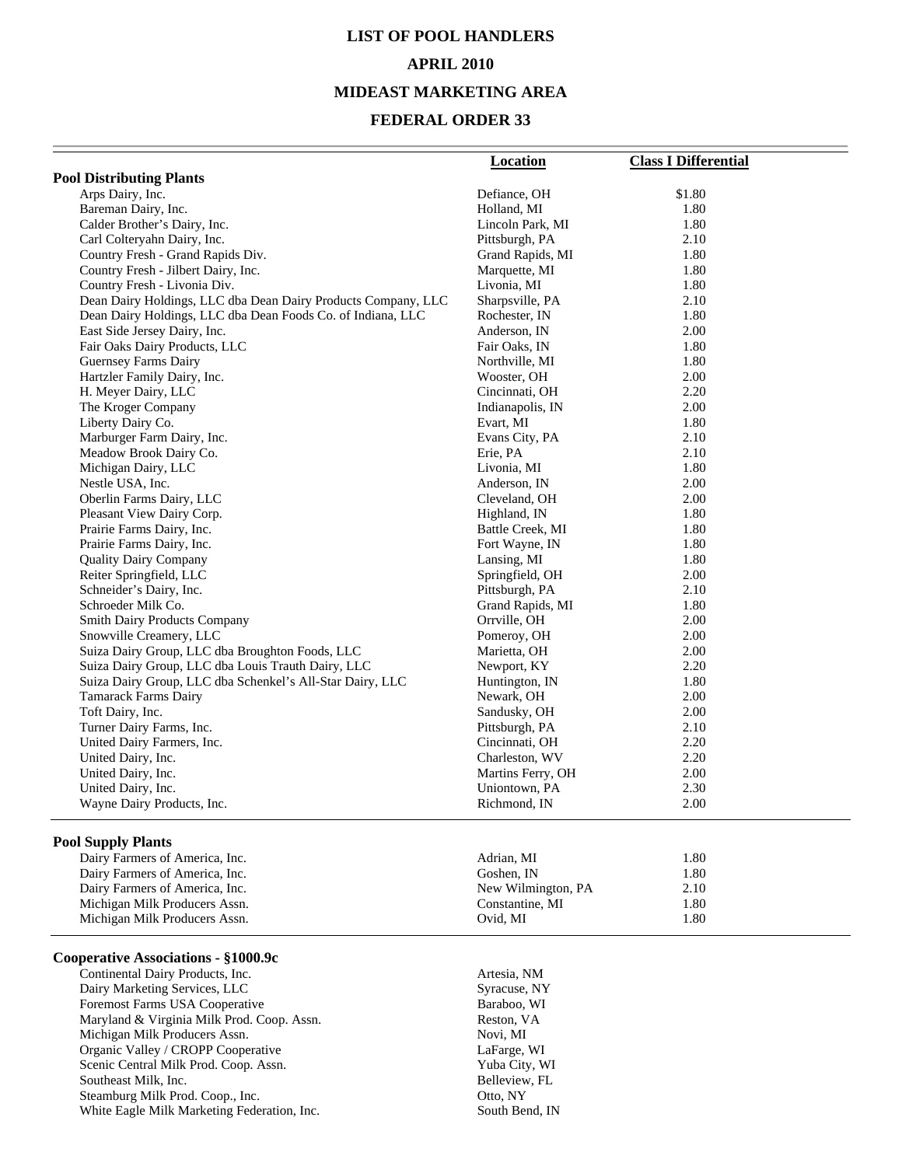# **LIST OF POOL HANDLERS**

#### **APRIL 2010**

#### **MIDEAST MARKETING AREA**

#### **FEDERAL ORDER 33**

|                                                               | <b>Location</b>   | <b>Class I Differential</b> |
|---------------------------------------------------------------|-------------------|-----------------------------|
| <b>Pool Distributing Plants</b>                               |                   |                             |
| Arps Dairy, Inc.                                              | Defiance, OH      | \$1.80                      |
| Bareman Dairy, Inc.                                           | Holland, MI       | 1.80                        |
| Calder Brother's Dairy, Inc.                                  | Lincoln Park, MI  | 1.80                        |
| Carl Colteryahn Dairy, Inc.                                   | Pittsburgh, PA    | 2.10                        |
| Country Fresh - Grand Rapids Div.                             | Grand Rapids, MI  | 1.80                        |
| Country Fresh - Jilbert Dairy, Inc.                           | Marquette, MI     | 1.80                        |
| Country Fresh - Livonia Div.                                  | Livonia, MI       | 1.80                        |
| Dean Dairy Holdings, LLC dba Dean Dairy Products Company, LLC | Sharpsville, PA   | 2.10                        |
| Dean Dairy Holdings, LLC dba Dean Foods Co. of Indiana, LLC   | Rochester, IN     | 1.80                        |
| East Side Jersey Dairy, Inc.                                  | Anderson, IN      | 2.00                        |
| Fair Oaks Dairy Products, LLC                                 | Fair Oaks, IN     | 1.80                        |
| Guernsey Farms Dairy                                          | Northville, MI    | 1.80                        |
| Hartzler Family Dairy, Inc.                                   | Wooster, OH       | 2.00                        |
| H. Meyer Dairy, LLC                                           | Cincinnati, OH    | 2.20                        |
| The Kroger Company                                            | Indianapolis, IN  | 2.00                        |
| Liberty Dairy Co.                                             | Evart, MI         | 1.80                        |
| Marburger Farm Dairy, Inc.                                    | Evans City, PA    | 2.10                        |
| Meadow Brook Dairy Co.                                        | Erie, PA          | 2.10                        |
| Michigan Dairy, LLC                                           | Livonia, MI       | 1.80                        |
| Nestle USA, Inc.                                              | Anderson, IN      | 2.00                        |
| Oberlin Farms Dairy, LLC                                      | Cleveland, OH     | 2.00                        |
| Pleasant View Dairy Corp.                                     | Highland, IN      | 1.80                        |
| Prairie Farms Dairy, Inc.                                     | Battle Creek, MI  | 1.80                        |
| Prairie Farms Dairy, Inc.                                     | Fort Wayne, IN    | 1.80                        |
| <b>Quality Dairy Company</b>                                  | Lansing, MI       | 1.80                        |
| Reiter Springfield, LLC                                       | Springfield, OH   | 2.00                        |
| Schneider's Dairy, Inc.                                       | Pittsburgh, PA    | 2.10                        |
| Schroeder Milk Co.                                            | Grand Rapids, MI  | 1.80                        |
| <b>Smith Dairy Products Company</b>                           | Orrville, OH      | 2.00                        |
| Snowville Creamery, LLC                                       | Pomeroy, OH       | 2.00                        |
| Suiza Dairy Group, LLC dba Broughton Foods, LLC               | Marietta, OH      | 2.00                        |
| Suiza Dairy Group, LLC dba Louis Trauth Dairy, LLC            | Newport, KY       | 2.20                        |
| Suiza Dairy Group, LLC dba Schenkel's All-Star Dairy, LLC     | Huntington, IN    | 1.80                        |
| <b>Tamarack Farms Dairy</b>                                   | Newark, OH        | 2.00                        |
| Toft Dairy, Inc.                                              | Sandusky, OH      | 2.00                        |
| Turner Dairy Farms, Inc.                                      | Pittsburgh, PA    | 2.10                        |
| United Dairy Farmers, Inc.                                    | Cincinnati, OH    | 2.20                        |
| United Dairy, Inc.                                            | Charleston, WV    | 2.20                        |
| United Dairy, Inc.                                            | Martins Ferry, OH | 2.00                        |
| United Dairy, Inc.                                            | Uniontown, PA     | 2.30                        |
| Wayne Dairy Products, Inc.                                    | Richmond, IN      | 2.00                        |

#### **Pool Supply Plants**

| Dairy Farmers of America, Inc. | Adrian. MI         | 1.80 |
|--------------------------------|--------------------|------|
| Dairy Farmers of America, Inc. | Goshen. IN         | 1.80 |
| Dairy Farmers of America, Inc. | New Wilmington, PA | 2.10 |
| Michigan Milk Producers Assn.  | Constantine, MI    | l.80 |
| Michigan Milk Producers Assn.  | Ovid. MI           | 1.80 |

#### **Cooperative Associations - §1000.9c**

 Continental Dairy Products, Inc. Artesia, NM Dairy Marketing Services, LLC<br>
Foremost Farms USA Cooperative<br>
Baraboo, WI Foremost Farms USA Cooperative Baraboo, W<br>
Maryland & Virginia Milk Prod. Coop. Assn. Reston, VA Maryland & Virginia Milk Prod. Coop. Assn. Michigan Milk Producers Assn. Novi, MI Organic Valley / CROPP Cooperative LaFarge, WI Scenic Central Milk Prod. Coop. Assn. Southeast Milk, Inc. **Belleview**, FL Steamburg Milk Prod. Coop., Inc. Otto, NY White Eagle Milk Marketing Federation, Inc. South Bend, IN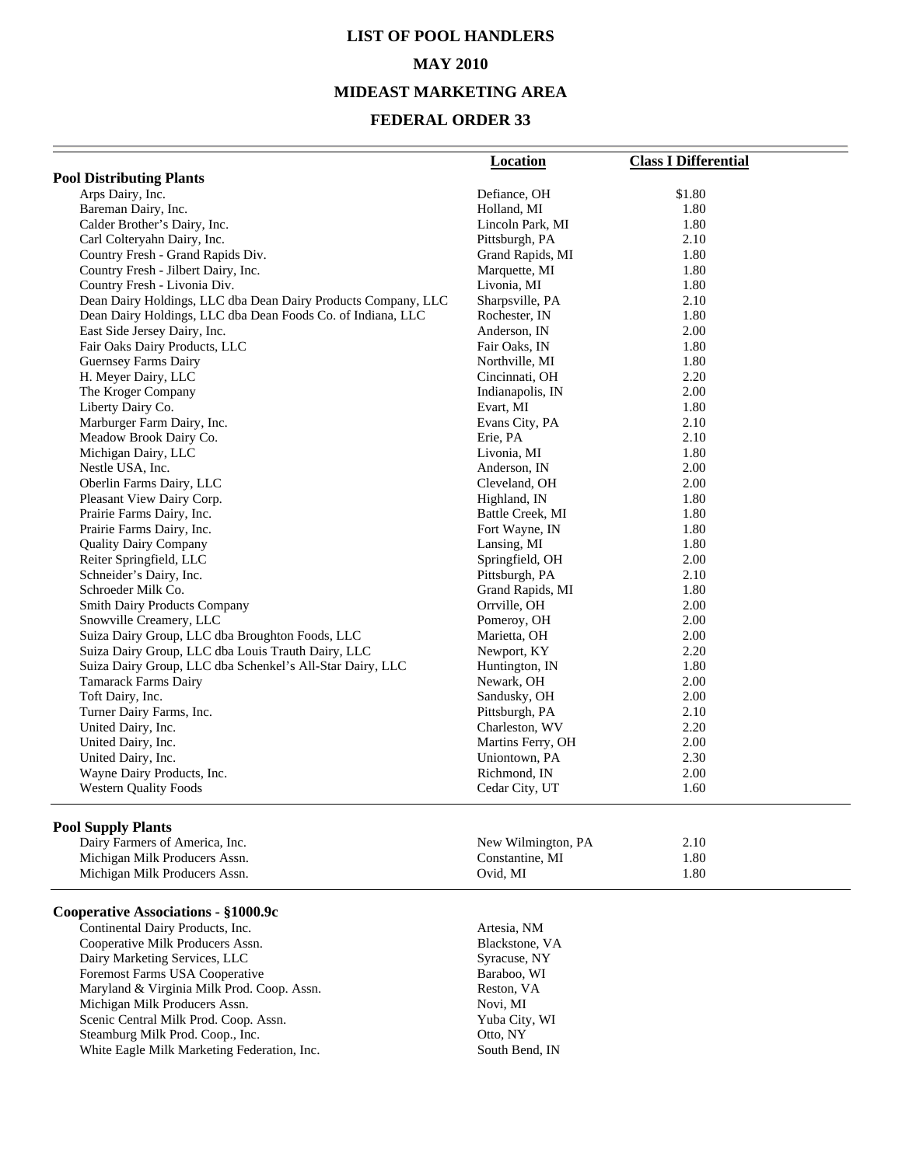### **LIST OF POOL HANDLERS MAY 2010 MIDEAST MARKETING AREA**

#### **FEDERAL ORDER 33**

|                                                               | <b>Location</b>   | <b>Class I Differential</b> |
|---------------------------------------------------------------|-------------------|-----------------------------|
| <b>Pool Distributing Plants</b>                               |                   |                             |
| Arps Dairy, Inc.                                              | Defiance, OH      | \$1.80                      |
| Bareman Dairy, Inc.                                           | Holland, MI       | 1.80                        |
| Calder Brother's Dairy, Inc.                                  | Lincoln Park, MI  | 1.80                        |
| Carl Colteryahn Dairy, Inc.                                   | Pittsburgh, PA    | 2.10                        |
| Country Fresh - Grand Rapids Div.                             | Grand Rapids, MI  | 1.80                        |
| Country Fresh - Jilbert Dairy, Inc.                           | Marquette, MI     | 1.80                        |
| Country Fresh - Livonia Div.                                  | Livonia, MI       | 1.80                        |
| Dean Dairy Holdings, LLC dba Dean Dairy Products Company, LLC | Sharpsville, PA   | 2.10                        |
| Dean Dairy Holdings, LLC dba Dean Foods Co. of Indiana, LLC   | Rochester, IN     | 1.80                        |
| East Side Jersey Dairy, Inc.                                  | Anderson, IN      | 2.00                        |
| Fair Oaks Dairy Products, LLC                                 | Fair Oaks, IN     | 1.80                        |
| <b>Guernsey Farms Dairy</b>                                   | Northville, MI    | 1.80                        |
| H. Meyer Dairy, LLC                                           | Cincinnati, OH    | 2.20                        |
| The Kroger Company                                            | Indianapolis, IN  | 2.00                        |
| Liberty Dairy Co.                                             | Evart, MI         | 1.80                        |
| Marburger Farm Dairy, Inc.                                    | Evans City, PA    | 2.10                        |
| Meadow Brook Dairy Co.                                        | Erie, PA          | 2.10                        |
| Michigan Dairy, LLC                                           | Livonia, MI       | 1.80                        |
| Nestle USA, Inc.                                              | Anderson, IN      | 2.00                        |
| Oberlin Farms Dairy, LLC                                      | Cleveland, OH     | 2.00                        |
| Pleasant View Dairy Corp.                                     | Highland, IN      | 1.80                        |
| Prairie Farms Dairy, Inc.                                     | Battle Creek, MI  | 1.80                        |
| Prairie Farms Dairy, Inc.                                     | Fort Wayne, IN    | 1.80                        |
| <b>Quality Dairy Company</b>                                  | Lansing, MI       | 1.80                        |
| Reiter Springfield, LLC                                       | Springfield, OH   | 2.00                        |
| Schneider's Dairy, Inc.                                       | Pittsburgh, PA    | 2.10                        |
| Schroeder Milk Co.                                            | Grand Rapids, MI  | 1.80                        |
| <b>Smith Dairy Products Company</b>                           | Orrville, OH      | 2.00                        |
| Snowville Creamery, LLC                                       | Pomeroy, OH       | 2.00                        |
| Suiza Dairy Group, LLC dba Broughton Foods, LLC               | Marietta, OH      | 2.00                        |
| Suiza Dairy Group, LLC dba Louis Trauth Dairy, LLC            | Newport, KY       | 2.20                        |
| Suiza Dairy Group, LLC dba Schenkel's All-Star Dairy, LLC     | Huntington, IN    | 1.80                        |
| <b>Tamarack Farms Dairy</b>                                   | Newark, OH        | 2.00                        |
| Toft Dairy, Inc.                                              | Sandusky, OH      | 2.00                        |
| Turner Dairy Farms, Inc.                                      | Pittsburgh, PA    | 2.10                        |
| United Dairy, Inc.                                            | Charleston, WV    | 2.20                        |
| United Dairy, Inc.                                            | Martins Ferry, OH | 2.00                        |
| United Dairy, Inc.                                            | Uniontown, PA     | 2.30                        |
| Wayne Dairy Products, Inc.                                    | Richmond, IN      | 2.00                        |
| <b>Western Quality Foods</b>                                  | Cedar City, UT    | 1.60                        |
|                                                               |                   |                             |

#### **Pool Supply Plants**

| .                              |                    |      |  |
|--------------------------------|--------------------|------|--|
| Dairy Farmers of America, Inc. | New Wilmington, PA | 2.10 |  |
| Michigan Milk Producers Assn.  | Constantine. MI    | 1.80 |  |
| Michigan Milk Producers Assn.  | Ovid. MI           | 1.80 |  |

#### **Cooperative Associations - §1000.9c**

Continental Dairy Products, Inc. 6. (2008) 2012 12:30 Artesia, NM Cooperative Milk Producers Assn. Cooperative Milk Producers Assn. Blackstone, V. Dairy Marketing Services, LLC Syracuse, NY Dairy Marketing Services, LLC<br>
Foremost Farms USA Cooperative Baraboo, WI Foremost Farms USA Cooperative Baraboo, W<br>
Maryland & Virginia Milk Prod. Coop. Assn. Reston, VA Maryland & Virginia Milk Prod. Coop. Assn. <br>Michigan Milk Producers Assn. <br>Novi, MI Michigan Milk Producers Assn.<br>
Scenic Central Milk Prod. Coop. Assn.<br>
Yuba City, WI Scenic Central Milk Prod. Coop. Assn. Steamburg Milk Prod. Coop., Inc. 69 (2015) 67 (2016) 78 (2016) 78 (2016) 78 (2016) 78 (2017) 79 (2017) 79 (2017) 79 (2017) 79 (2017) 79 (2017) 79 (2017) 79 (2017) 79 (2017) 79 (2017) 79 (2017) 79 (2017) 79 (2017) 79 (2017) White Eagle Milk Marketing Federation, Inc. South Bend, IN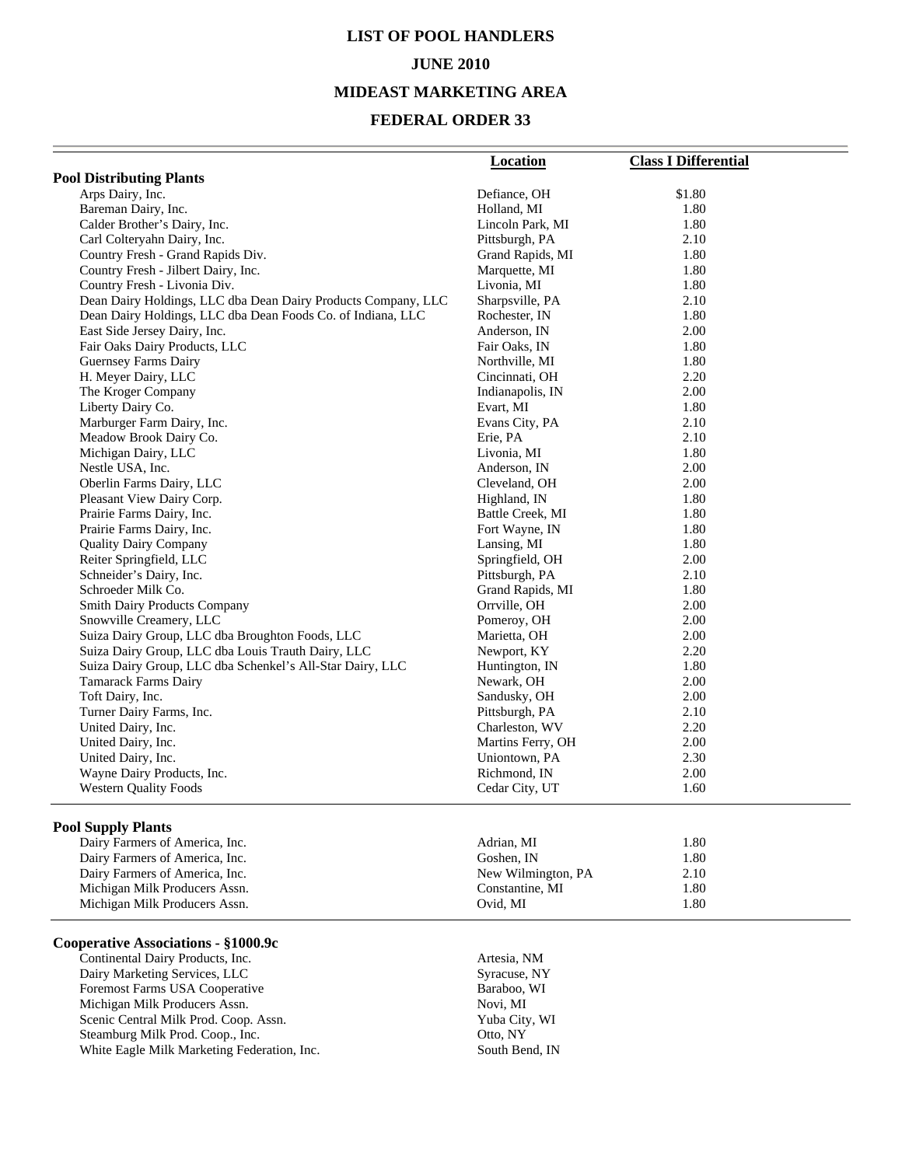# **LIST OF POOL HANDLERS JUNE 2010**

#### **MIDEAST MARKETING AREA**

### **FEDERAL ORDER 33**

|                                                               | <b>Location</b>   | <b>Class I Differential</b> |
|---------------------------------------------------------------|-------------------|-----------------------------|
| <b>Pool Distributing Plants</b>                               |                   |                             |
| Arps Dairy, Inc.                                              | Defiance, OH      | \$1.80                      |
| Bareman Dairy, Inc.                                           | Holland, MI       | 1.80                        |
| Calder Brother's Dairy, Inc.                                  | Lincoln Park, MI  | 1.80                        |
| Carl Colteryahn Dairy, Inc.                                   | Pittsburgh, PA    | 2.10                        |
| Country Fresh - Grand Rapids Div.                             | Grand Rapids, MI  | 1.80                        |
| Country Fresh - Jilbert Dairy, Inc.                           | Marquette, MI     | 1.80                        |
| Country Fresh - Livonia Div.                                  | Livonia, MI       | 1.80                        |
| Dean Dairy Holdings, LLC dba Dean Dairy Products Company, LLC | Sharpsville, PA   | 2.10                        |
| Dean Dairy Holdings, LLC dba Dean Foods Co. of Indiana, LLC   | Rochester, IN     | 1.80                        |
| East Side Jersey Dairy, Inc.                                  | Anderson, IN      | 2.00                        |
| Fair Oaks Dairy Products, LLC                                 | Fair Oaks, IN     | 1.80                        |
| <b>Guernsey Farms Dairy</b>                                   | Northville, MI    | 1.80                        |
| H. Meyer Dairy, LLC                                           | Cincinnati, OH    | 2.20                        |
| The Kroger Company                                            | Indianapolis, IN  | 2.00                        |
| Liberty Dairy Co.                                             | Evart, MI         | 1.80                        |
| Marburger Farm Dairy, Inc.                                    | Evans City, PA    | 2.10                        |
| Meadow Brook Dairy Co.                                        | Erie, PA          | 2.10                        |
| Michigan Dairy, LLC                                           | Livonia, MI       | 1.80                        |
| Nestle USA, Inc.                                              | Anderson, IN      | 2.00                        |
| Oberlin Farms Dairy, LLC                                      | Cleveland, OH     | 2.00                        |
| Pleasant View Dairy Corp.                                     | Highland, IN      | 1.80                        |
| Prairie Farms Dairy, Inc.                                     | Battle Creek, MI  | 1.80                        |
| Prairie Farms Dairy, Inc.                                     | Fort Wayne, IN    | 1.80                        |
| <b>Quality Dairy Company</b>                                  | Lansing, MI       | 1.80                        |
| Reiter Springfield, LLC                                       | Springfield, OH   | 2.00                        |
| Schneider's Dairy, Inc.                                       | Pittsburgh, PA    | 2.10                        |
| Schroeder Milk Co.                                            | Grand Rapids, MI  | 1.80                        |
| <b>Smith Dairy Products Company</b>                           | Orrville, OH      | 2.00                        |
| Snowville Creamery, LLC                                       | Pomeroy, OH       | 2.00                        |
| Suiza Dairy Group, LLC dba Broughton Foods, LLC               | Marietta, OH      | 2.00                        |
| Suiza Dairy Group, LLC dba Louis Trauth Dairy, LLC            | Newport, KY       | 2.20                        |
| Suiza Dairy Group, LLC dba Schenkel's All-Star Dairy, LLC     | Huntington, IN    | 1.80                        |
| <b>Tamarack Farms Dairy</b>                                   | Newark, OH        | 2.00                        |
| Toft Dairy, Inc.                                              | Sandusky, OH      | 2.00                        |
| Turner Dairy Farms, Inc.                                      | Pittsburgh, PA    | 2.10                        |
| United Dairy, Inc.                                            | Charleston, WV    | 2.20                        |
| United Dairy, Inc.                                            | Martins Ferry, OH | 2.00                        |
| United Dairy, Inc.                                            | Uniontown, PA     | 2.30                        |
| Wayne Dairy Products, Inc.                                    | Richmond, IN      | 2.00                        |
| <b>Western Quality Foods</b>                                  | Cedar City, UT    | 1.60                        |

#### **Pool Supply Plants**

| Dairy Farmers of America, Inc. | Adrian. MI         | 1.80 |  |
|--------------------------------|--------------------|------|--|
| Dairy Farmers of America, Inc. | Goshen. IN         | 1.80 |  |
| Dairy Farmers of America, Inc. | New Wilmington, PA | 2.10 |  |
| Michigan Milk Producers Assn.  | Constantine, MI    | 1.80 |  |
| Michigan Milk Producers Assn.  | Ovid. MI           | 1.80 |  |

#### **Cooperative Associations - §1000.9c**

**Continental Dairy Products, Inc.** Artesia, NM<br>
Dairy Marketing Services, LLC<br>
Syracuse, NY Dairy Marketing Services, LLC<br>
Foremost Farms USA Cooperative Baraboo, WI Foremost Farms USA Cooperative Baraboo,<br>
Michigan Milk Producers Assn. Novi, MI Michigan Milk Producers Assn. Novi, MI<br>
Scenic Central Milk Prod. Coop. Assn. Yuba City, WI Scenic Central Milk Prod. Coop. Assn. Steamburg Milk Prod. Coop., Inc. 0010 0010, NY White Eagle Milk Marketing Federation, Inc. South Bend, IN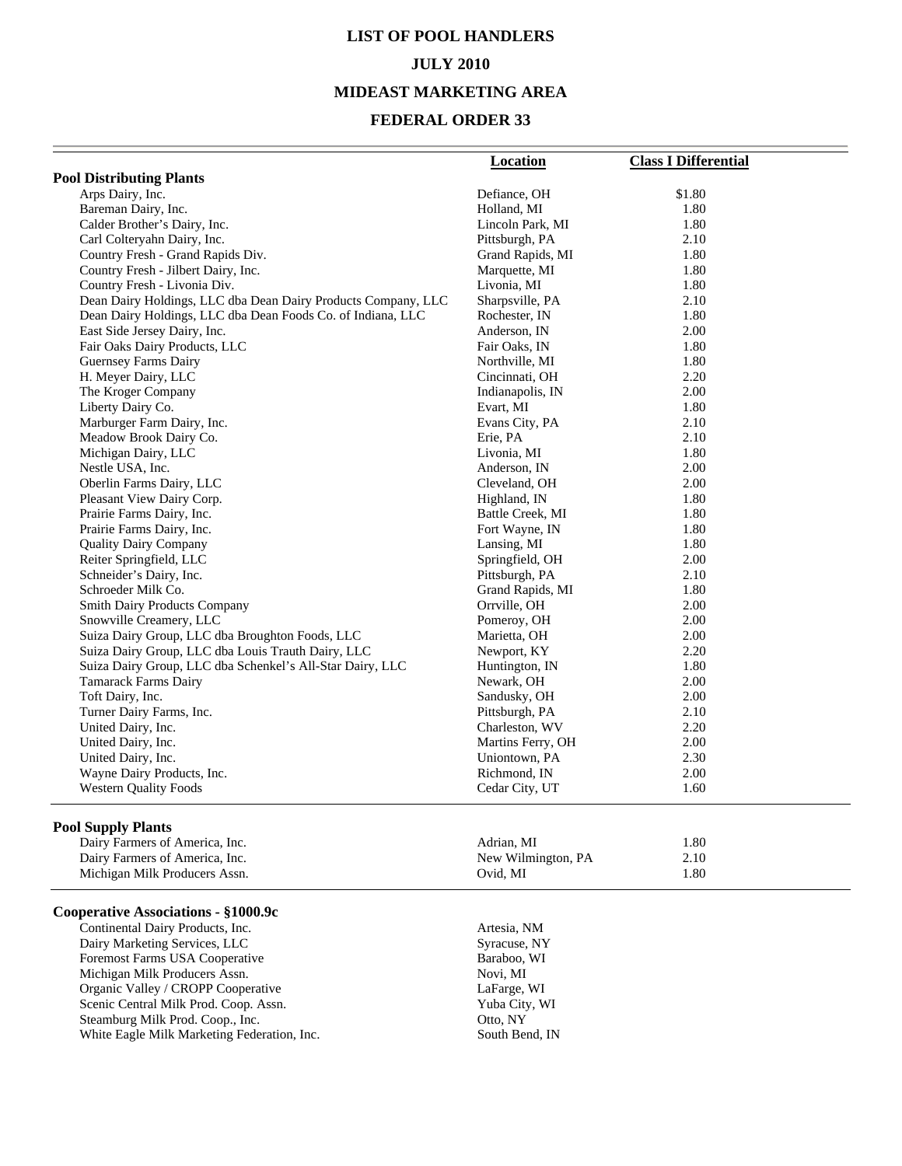### **LIST OF POOL HANDLERS JULY 2010 MIDEAST MARKETING AREA**

#### **FEDERAL ORDER 33**

|                                                               | Location          | <b>Class I Differential</b> |
|---------------------------------------------------------------|-------------------|-----------------------------|
| <b>Pool Distributing Plants</b>                               |                   |                             |
| Arps Dairy, Inc.                                              | Defiance, OH      | \$1.80                      |
| Bareman Dairy, Inc.                                           | Holland, MI       | 1.80                        |
| Calder Brother's Dairy, Inc.                                  | Lincoln Park, MI  | 1.80                        |
| Carl Colteryahn Dairy, Inc.                                   | Pittsburgh, PA    | 2.10                        |
| Country Fresh - Grand Rapids Div.                             | Grand Rapids, MI  | 1.80                        |
| Country Fresh - Jilbert Dairy, Inc.                           | Marquette, MI     | 1.80                        |
| Country Fresh - Livonia Div.                                  | Livonia, MI       | 1.80                        |
| Dean Dairy Holdings, LLC dba Dean Dairy Products Company, LLC | Sharpsville, PA   | 2.10                        |
| Dean Dairy Holdings, LLC dba Dean Foods Co. of Indiana, LLC   | Rochester, IN     | 1.80                        |
| East Side Jersey Dairy, Inc.                                  | Anderson, IN      | 2.00                        |
| Fair Oaks Dairy Products, LLC                                 | Fair Oaks, IN     | 1.80                        |
| <b>Guernsey Farms Dairy</b>                                   | Northville, MI    | 1.80                        |
| H. Meyer Dairy, LLC                                           | Cincinnati, OH    | 2.20                        |
| The Kroger Company                                            | Indianapolis, IN  | 2.00                        |
| Liberty Dairy Co.                                             | Evart, MI         | 1.80                        |
| Marburger Farm Dairy, Inc.                                    | Evans City, PA    | 2.10                        |
| Meadow Brook Dairy Co.                                        | Erie, PA          | 2.10                        |
| Michigan Dairy, LLC                                           | Livonia, MI       | 1.80                        |
| Nestle USA, Inc.                                              | Anderson, IN      | 2.00                        |
| Oberlin Farms Dairy, LLC                                      | Cleveland, OH     | 2.00                        |
| Pleasant View Dairy Corp.                                     | Highland, IN      | 1.80                        |
| Prairie Farms Dairy, Inc.                                     | Battle Creek, MI  | 1.80                        |
| Prairie Farms Dairy, Inc.                                     | Fort Wayne, IN    | 1.80                        |
| <b>Quality Dairy Company</b>                                  | Lansing, MI       | 1.80                        |
| Reiter Springfield, LLC                                       | Springfield, OH   | 2.00                        |
| Schneider's Dairy, Inc.                                       | Pittsburgh, PA    | 2.10                        |
| Schroeder Milk Co.                                            | Grand Rapids, MI  | 1.80                        |
| Smith Dairy Products Company                                  | Orrville, OH      | 2.00                        |
| Snowville Creamery, LLC                                       | Pomeroy, OH       | 2.00                        |
| Suiza Dairy Group, LLC dba Broughton Foods, LLC               | Marietta, OH      | 2.00                        |
| Suiza Dairy Group, LLC dba Louis Trauth Dairy, LLC            | Newport, KY       | 2.20                        |
| Suiza Dairy Group, LLC dba Schenkel's All-Star Dairy, LLC     | Huntington, IN    | 1.80                        |
| <b>Tamarack Farms Dairy</b>                                   | Newark, OH        | 2.00                        |
| Toft Dairy, Inc.                                              | Sandusky, OH      | 2.00                        |
| Turner Dairy Farms, Inc.                                      | Pittsburgh, PA    | 2.10                        |
| United Dairy, Inc.                                            | Charleston, WV    | 2.20                        |
| United Dairy, Inc.                                            | Martins Ferry, OH | 2.00                        |
| United Dairy, Inc.                                            | Uniontown, PA     | 2.30                        |
| Wayne Dairy Products, Inc.                                    | Richmond, IN      | 2.00                        |
| <b>Western Quality Foods</b>                                  | Cedar City, UT    | 1.60                        |
|                                                               |                   |                             |

#### **Pool Supply Plants**

| .<br>Dairy Farmers of America, Inc. | Adrian. MI         | 1.80  |  |
|-------------------------------------|--------------------|-------|--|
| Dairy Farmers of America, Inc.      | New Wilmington, PA | 2.10  |  |
| Michigan Milk Producers Assn.       | Ovid. MI           | . .80 |  |

#### **Cooperative Associations - §1000.9c**

Continental Dairy Products, Inc.<br>
Dairy Marketing Services, LLC<br>
Syracuse, NY Dairy Marketing Services, LLC<br>
Foremost Farms USA Cooperative<br>
Baraboo, WI Foremost Farms USA Cooperative Baraboo,<br>
Michigan Milk Producers Assn. Novi, MI Michigan Milk Producers Assn.<br>
Organic Valley / CROPP Cooperative LaFarge, WI Organic Valley / CROPP Cooperative LaFarge, WI<br>
Scenic Central Milk Prod. Coop. Assn. Yuba City, WI Scenic Central Milk Prod. Coop. Assn. Yuba City, Yuba City, Steamburg Milk Prod. Coop., Inc. (2007) Steamburg Milk Prod. Coop., Inc. White Eagle Milk Marketing Federation, Inc. South Bend, IN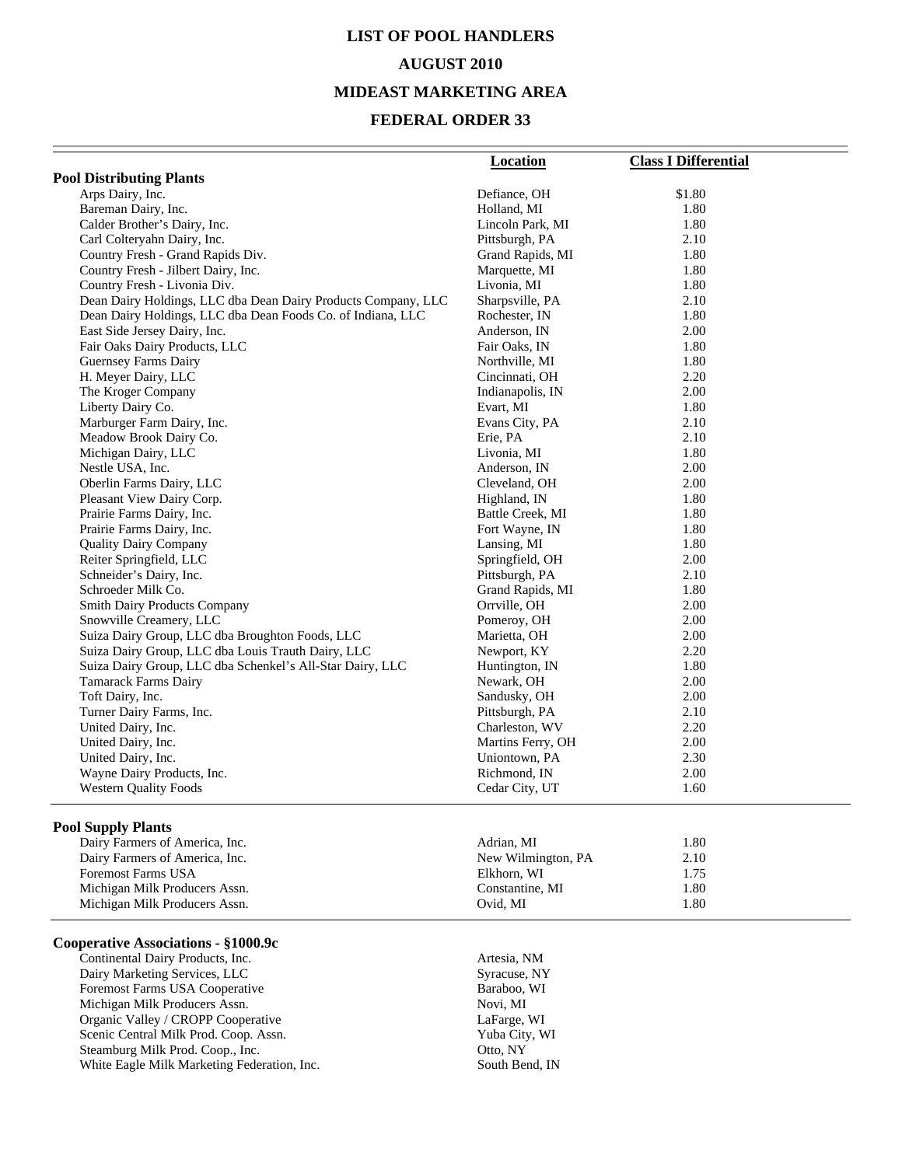### **LIST OF POOL HANDLERS AUGUST 2010 MIDEAST MARKETING AREA**

### **FEDERAL ORDER 33**

|                                                               | <b>Location</b>    | <b>Class I Differential</b> |
|---------------------------------------------------------------|--------------------|-----------------------------|
| <b>Pool Distributing Plants</b>                               |                    |                             |
| Arps Dairy, Inc.                                              | Defiance, OH       | \$1.80                      |
| Bareman Dairy, Inc.                                           | Holland, MI        | 1.80                        |
| Calder Brother's Dairy, Inc.                                  | Lincoln Park, MI   | 1.80                        |
| Carl Colteryahn Dairy, Inc.                                   | Pittsburgh, PA     | 2.10                        |
| Country Fresh - Grand Rapids Div.                             | Grand Rapids, MI   | 1.80                        |
| Country Fresh - Jilbert Dairy, Inc.                           | Marquette, MI      | 1.80                        |
| Country Fresh - Livonia Div.                                  | Livonia, MI        | 1.80                        |
| Dean Dairy Holdings, LLC dba Dean Dairy Products Company, LLC | Sharpsville, PA    | 2.10                        |
| Dean Dairy Holdings, LLC dba Dean Foods Co. of Indiana, LLC   | Rochester, IN      | 1.80                        |
| East Side Jersey Dairy, Inc.                                  | Anderson, IN       | 2.00                        |
| Fair Oaks Dairy Products, LLC                                 | Fair Oaks, IN      | 1.80                        |
| Guernsey Farms Dairy                                          | Northville, MI     | 1.80                        |
| H. Meyer Dairy, LLC                                           | Cincinnati, OH     | 2.20                        |
| The Kroger Company                                            | Indianapolis, IN   | 2.00                        |
| Liberty Dairy Co.                                             | Evart, MI          | 1.80                        |
| Marburger Farm Dairy, Inc.                                    | Evans City, PA     | 2.10                        |
| Meadow Brook Dairy Co.                                        | Erie, PA           | 2.10                        |
| Michigan Dairy, LLC                                           | Livonia, MI        | 1.80                        |
| Nestle USA, Inc.                                              | Anderson, IN       | 2.00                        |
| Oberlin Farms Dairy, LLC                                      | Cleveland, OH      | 2.00                        |
| Pleasant View Dairy Corp.                                     | Highland, IN       | 1.80                        |
| Prairie Farms Dairy, Inc.                                     | Battle Creek, MI   | 1.80                        |
| Prairie Farms Dairy, Inc.                                     | Fort Wayne, IN     | 1.80                        |
| <b>Quality Dairy Company</b>                                  | Lansing, MI        | 1.80                        |
| Reiter Springfield, LLC                                       | Springfield, OH    | 2.00                        |
| Schneider's Dairy, Inc.                                       | Pittsburgh, PA     | 2.10                        |
| Schroeder Milk Co.                                            | Grand Rapids, MI   | 1.80                        |
| <b>Smith Dairy Products Company</b>                           | Orrville, OH       | 2.00                        |
| Snowville Creamery, LLC                                       | Pomeroy, OH        | 2.00                        |
| Suiza Dairy Group, LLC dba Broughton Foods, LLC               | Marietta, OH       | 2.00                        |
| Suiza Dairy Group, LLC dba Louis Trauth Dairy, LLC            | Newport, KY        | 2.20                        |
| Suiza Dairy Group, LLC dba Schenkel's All-Star Dairy, LLC     | Huntington, IN     | 1.80                        |
| <b>Tamarack Farms Dairy</b>                                   | Newark, OH         | 2.00                        |
| Toft Dairy, Inc.                                              | Sandusky, OH       | 2.00                        |
| Turner Dairy Farms, Inc.                                      | Pittsburgh, PA     | 2.10                        |
| United Dairy, Inc.                                            | Charleston, WV     | 2.20                        |
| United Dairy, Inc.                                            | Martins Ferry, OH  | 2.00                        |
| United Dairy, Inc.                                            | Uniontown, PA      | 2.30                        |
| Wayne Dairy Products, Inc.                                    | Richmond, IN       | 2.00                        |
| <b>Western Quality Foods</b>                                  | Cedar City, UT     | 1.60                        |
| <b>Pool Supply Plants</b>                                     |                    |                             |
| Dairy Farmers of America, Inc.                                | Adrian, MI         | 1.80                        |
| Dairy Farmers of America, Inc.                                | New Wilmington, PA | 2.10                        |
| <b>Foremost Farms USA</b>                                     | Elkhorn, WI        | 1.75                        |
| Michigan Milk Producers Assn.                                 | Constantine, MI    | 1.80                        |
| Michigan Milk Producers Assn.                                 | Ovid, MI           | 1.80                        |

#### **Cooperative Associations - §1000.9c**

Michigan Milk Producers Assn.

**Continental Dairy Products, Inc.** Artesia, NM<br> **Dairy Marketing Services, LLC** Syracuse, NY Dairy Marketing Services, LLC<br>
Foremost Farms USA Cooperative Baraboo, WI Foremost Farms USA Cooperative Baraboo,<br>
Michigan Milk Producers Assn. Novi, MI Michigan Milk Producers Assn.<br>
Organic Valley / CROPP Cooperative LaFarge, WI Organic Valley / CROPP Cooperative Scenic Central Milk Prod. Coop. Assn. Yuba City, WI Steamburg Milk Prod. Coop., Inc. Coop. 2016, NY White Eagle Milk Marketing Federation, Inc. South Bend, IN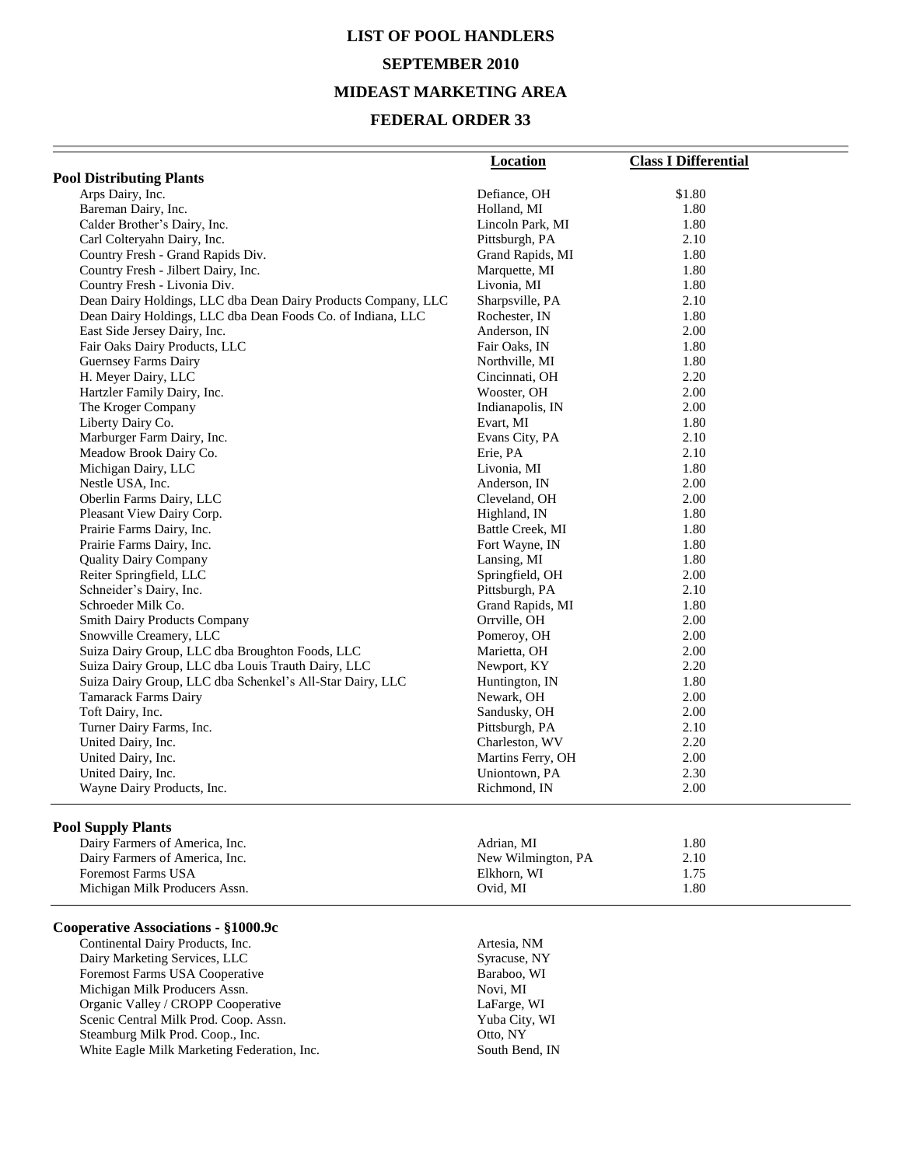# **LIST OF POOL HANDLERS SEPTEMBER 2010 MIDEAST MARKETING AREA**

#### **FEDERAL ORDER 33**

|                                                               | <b>Location</b>    | <b>Class I Differential</b> |
|---------------------------------------------------------------|--------------------|-----------------------------|
| <b>Pool Distributing Plants</b>                               |                    |                             |
| Arps Dairy, Inc.                                              | Defiance, OH       | \$1.80                      |
| Bareman Dairy, Inc.                                           | Holland, MI        | 1.80                        |
| Calder Brother's Dairy, Inc.                                  | Lincoln Park, MI   | 1.80                        |
| Carl Colteryahn Dairy, Inc.                                   | Pittsburgh, PA     | 2.10                        |
| Country Fresh - Grand Rapids Div.                             | Grand Rapids, MI   | 1.80                        |
| Country Fresh - Jilbert Dairy, Inc.                           | Marquette, MI      | 1.80                        |
| Country Fresh - Livonia Div.                                  | Livonia, MI        | 1.80                        |
| Dean Dairy Holdings, LLC dba Dean Dairy Products Company, LLC | Sharpsville, PA    | 2.10                        |
| Dean Dairy Holdings, LLC dba Dean Foods Co. of Indiana, LLC   | Rochester, IN      | 1.80                        |
| East Side Jersey Dairy, Inc.                                  | Anderson, IN       | 2.00                        |
| Fair Oaks Dairy Products, LLC                                 | Fair Oaks, IN      | 1.80                        |
| Guernsey Farms Dairy                                          | Northville, MI     | 1.80                        |
| H. Meyer Dairy, LLC                                           | Cincinnati, OH     | 2.20                        |
| Hartzler Family Dairy, Inc.                                   | Wooster, OH        | 2.00                        |
| The Kroger Company                                            | Indianapolis, IN   | 2.00                        |
| Liberty Dairy Co.                                             | Evart, MI          | 1.80                        |
| Marburger Farm Dairy, Inc.                                    | Evans City, PA     | 2.10                        |
| Meadow Brook Dairy Co.                                        | Erie, PA           | 2.10                        |
| Michigan Dairy, LLC                                           | Livonia, MI        | 1.80                        |
| Nestle USA, Inc.                                              | Anderson, IN       | 2.00                        |
| Oberlin Farms Dairy, LLC                                      | Cleveland, OH      | 2.00                        |
| Pleasant View Dairy Corp.                                     | Highland, IN       | 1.80                        |
| Prairie Farms Dairy, Inc.                                     | Battle Creek, MI   | 1.80                        |
| Prairie Farms Dairy, Inc.                                     | Fort Wayne, IN     | 1.80                        |
| <b>Quality Dairy Company</b>                                  | Lansing, MI        | 1.80                        |
| Reiter Springfield, LLC                                       | Springfield, OH    | 2.00                        |
| Schneider's Dairy, Inc.                                       | Pittsburgh, PA     | 2.10                        |
| Schroeder Milk Co.                                            | Grand Rapids, MI   | 1.80                        |
| <b>Smith Dairy Products Company</b>                           | Orrville, OH       | 2.00                        |
| Snowville Creamery, LLC                                       | Pomeroy, OH        | 2.00                        |
| Suiza Dairy Group, LLC dba Broughton Foods, LLC               | Marietta, OH       | 2.00                        |
| Suiza Dairy Group, LLC dba Louis Trauth Dairy, LLC            | Newport, KY        | 2.20                        |
| Suiza Dairy Group, LLC dba Schenkel's All-Star Dairy, LLC     | Huntington, IN     | 1.80                        |
| Tamarack Farms Dairy                                          | Newark, OH         | 2.00                        |
| Toft Dairy, Inc.                                              | Sandusky, OH       | 2.00                        |
| Turner Dairy Farms, Inc.                                      | Pittsburgh, PA     | 2.10                        |
| United Dairy, Inc.                                            | Charleston, WV     | 2.20                        |
| United Dairy, Inc.                                            | Martins Ferry, OH  | 2.00                        |
| United Dairy, Inc.                                            | Uniontown, PA      | 2.30                        |
| Wayne Dairy Products, Inc.                                    | Richmond, IN       | 2.00                        |
|                                                               |                    |                             |
| <b>Pool Supply Plants</b>                                     |                    |                             |
| Dairy Farmers of America, Inc.                                | Adrian, MI         | 1.80                        |
| Dairy Farmers of America, Inc.                                | New Wilmington, PA | 2.10                        |
| <b>Foremost Farms USA</b>                                     | Elkhorn, WI        | 1.75                        |
| Michigan Milk Producers Assn.                                 | Ovid, MI           | 1.80                        |

#### **Cooperative Associations - §1000.9c**

Continental Dairy Products, Inc.<br>
Dairy Marketing Services, LLC<br>
Syracuse, NY Dairy Marketing Services, LLC<br>
Foremost Farms USA Cooperative<br>
Baraboo, WI Foremost Farms USA Cooperative Baraboo,<br>
Michigan Milk Producers Assn. Novi, MI Michigan Milk Producers Assn. Novi, MI<br>
Organic Valley / CROPP Cooperative LaFarge, WI Organic Valley / CROPP Cooperative LaFarge, WI<br>
Scenic Central Milk Prod. Coop. Assn. Yuba City, WI Scenic Central Milk Prod. Coop. Assn. Steamburg Milk Prod. Coop., Inc. Coop., Communication Control Control Coop., Inc. White Eagle Milk Marketing Federation, Inc. South Bend, IN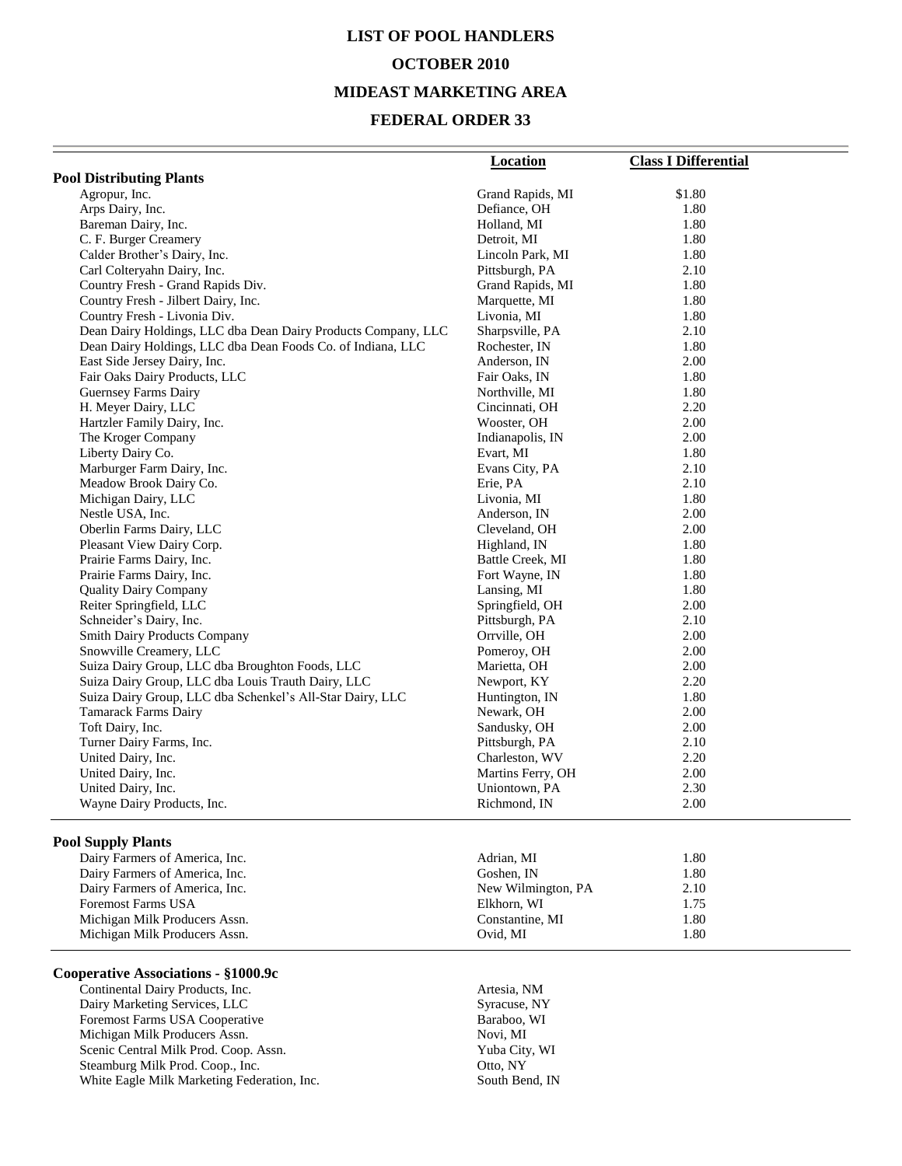# **LIST OF POOL HANDLERS OCTOBER 2010 MIDEAST MARKETING AREA**

#### **FEDERAL ORDER 33**

| <b>Pool Distributing Plants</b><br>\$1.80<br>Agropur, Inc.<br>Grand Rapids, MI<br>Arps Dairy, Inc.<br>Defiance, OH<br>1.80<br>Bareman Dairy, Inc.<br>Holland, MI<br>1.80<br>C. F. Burger Creamery<br>Detroit, MI<br>1.80<br>Calder Brother's Dairy, Inc.<br>1.80<br>Lincoln Park, MI<br>Carl Colteryahn Dairy, Inc.<br>Pittsburgh, PA<br>2.10<br>Country Fresh - Grand Rapids Div.<br>Grand Rapids, MI<br>1.80<br>1.80<br>Country Fresh - Jilbert Dairy, Inc.<br>Marquette, MI<br>Livonia, MI<br>Country Fresh - Livonia Div.<br>1.80<br>Dean Dairy Holdings, LLC dba Dean Dairy Products Company, LLC<br>Sharpsville, PA<br>2.10<br>Dean Dairy Holdings, LLC dba Dean Foods Co. of Indiana, LLC<br>Rochester, IN<br>1.80<br>East Side Jersey Dairy, Inc.<br>2.00<br>Anderson, IN<br>Fair Oaks Dairy Products, LLC<br>Fair Oaks, IN<br>1.80<br>Guernsey Farms Dairy<br>Northville, MI<br>1.80<br>H. Meyer Dairy, LLC<br>Cincinnati, OH<br>2.20<br>Hartzler Family Dairy, Inc.<br>Wooster, OH<br>2.00<br>The Kroger Company<br>Indianapolis, IN<br>2.00<br>Liberty Dairy Co.<br>Evart, MI<br>1.80<br>Marburger Farm Dairy, Inc.<br>Evans City, PA<br>2.10<br>Meadow Brook Dairy Co.<br>2.10<br>Erie, PA<br>Michigan Dairy, LLC<br>Livonia, MI<br>1.80<br>Nestle USA, Inc.<br>2.00<br>Anderson, IN<br>Oberlin Farms Dairy, LLC<br>Cleveland, OH<br>2.00<br>Pleasant View Dairy Corp.<br>1.80<br>Highland, IN<br>Battle Creek, MI<br>1.80<br>Prairie Farms Dairy, Inc.<br>Fort Wayne, IN<br>1.80<br>Prairie Farms Dairy, Inc.<br>1.80<br><b>Quality Dairy Company</b><br>Lansing, MI<br>Reiter Springfield, LLC<br>2.00<br>Springfield, OH<br>2.10<br>Schneider's Dairy, Inc.<br>Pittsburgh, PA<br><b>Smith Dairy Products Company</b><br>Orrville, OH<br>2.00<br>Snowville Creamery, LLC<br>Pomeroy, OH<br>2.00<br>Suiza Dairy Group, LLC dba Broughton Foods, LLC<br>Marietta, OH<br>2.00<br>2.20<br>Suiza Dairy Group, LLC dba Louis Trauth Dairy, LLC<br>Newport, KY<br>Suiza Dairy Group, LLC dba Schenkel's All-Star Dairy, LLC<br>1.80<br>Huntington, IN<br><b>Tamarack Farms Dairy</b><br>Newark, OH<br>2.00<br>2.00<br>Toft Dairy, Inc.<br>Sandusky, OH<br>Turner Dairy Farms, Inc.<br>2.10<br>Pittsburgh, PA<br>United Dairy, Inc.<br>Charleston, WV<br>2.20<br>United Dairy, Inc.<br>Martins Ferry, OH<br>2.00<br>2.30<br>United Dairy, Inc.<br>Uniontown, PA<br>Richmond, IN<br>2.00<br>Wayne Dairy Products, Inc.<br><b>Pool Supply Plants</b><br>1.80<br>Dairy Farmers of America, Inc.<br>Adrian, MI<br>1.80<br>Dairy Farmers of America, Inc.<br>Goshen, IN | Location | <b>Class I Differential</b> |
|--------------------------------------------------------------------------------------------------------------------------------------------------------------------------------------------------------------------------------------------------------------------------------------------------------------------------------------------------------------------------------------------------------------------------------------------------------------------------------------------------------------------------------------------------------------------------------------------------------------------------------------------------------------------------------------------------------------------------------------------------------------------------------------------------------------------------------------------------------------------------------------------------------------------------------------------------------------------------------------------------------------------------------------------------------------------------------------------------------------------------------------------------------------------------------------------------------------------------------------------------------------------------------------------------------------------------------------------------------------------------------------------------------------------------------------------------------------------------------------------------------------------------------------------------------------------------------------------------------------------------------------------------------------------------------------------------------------------------------------------------------------------------------------------------------------------------------------------------------------------------------------------------------------------------------------------------------------------------------------------------------------------------------------------------------------------------------------------------------------------------------------------------------------------------------------------------------------------------------------------------------------------------------------------------------------------------------------------------------------------------------------------------------------------------------------------------------------------------------------------------------------------------------------------------------------------------|----------|-----------------------------|
|                                                                                                                                                                                                                                                                                                                                                                                                                                                                                                                                                                                                                                                                                                                                                                                                                                                                                                                                                                                                                                                                                                                                                                                                                                                                                                                                                                                                                                                                                                                                                                                                                                                                                                                                                                                                                                                                                                                                                                                                                                                                                                                                                                                                                                                                                                                                                                                                                                                                                                                                                                          |          |                             |
|                                                                                                                                                                                                                                                                                                                                                                                                                                                                                                                                                                                                                                                                                                                                                                                                                                                                                                                                                                                                                                                                                                                                                                                                                                                                                                                                                                                                                                                                                                                                                                                                                                                                                                                                                                                                                                                                                                                                                                                                                                                                                                                                                                                                                                                                                                                                                                                                                                                                                                                                                                          |          |                             |
|                                                                                                                                                                                                                                                                                                                                                                                                                                                                                                                                                                                                                                                                                                                                                                                                                                                                                                                                                                                                                                                                                                                                                                                                                                                                                                                                                                                                                                                                                                                                                                                                                                                                                                                                                                                                                                                                                                                                                                                                                                                                                                                                                                                                                                                                                                                                                                                                                                                                                                                                                                          |          |                             |
|                                                                                                                                                                                                                                                                                                                                                                                                                                                                                                                                                                                                                                                                                                                                                                                                                                                                                                                                                                                                                                                                                                                                                                                                                                                                                                                                                                                                                                                                                                                                                                                                                                                                                                                                                                                                                                                                                                                                                                                                                                                                                                                                                                                                                                                                                                                                                                                                                                                                                                                                                                          |          |                             |
|                                                                                                                                                                                                                                                                                                                                                                                                                                                                                                                                                                                                                                                                                                                                                                                                                                                                                                                                                                                                                                                                                                                                                                                                                                                                                                                                                                                                                                                                                                                                                                                                                                                                                                                                                                                                                                                                                                                                                                                                                                                                                                                                                                                                                                                                                                                                                                                                                                                                                                                                                                          |          |                             |
|                                                                                                                                                                                                                                                                                                                                                                                                                                                                                                                                                                                                                                                                                                                                                                                                                                                                                                                                                                                                                                                                                                                                                                                                                                                                                                                                                                                                                                                                                                                                                                                                                                                                                                                                                                                                                                                                                                                                                                                                                                                                                                                                                                                                                                                                                                                                                                                                                                                                                                                                                                          |          |                             |
|                                                                                                                                                                                                                                                                                                                                                                                                                                                                                                                                                                                                                                                                                                                                                                                                                                                                                                                                                                                                                                                                                                                                                                                                                                                                                                                                                                                                                                                                                                                                                                                                                                                                                                                                                                                                                                                                                                                                                                                                                                                                                                                                                                                                                                                                                                                                                                                                                                                                                                                                                                          |          |                             |
|                                                                                                                                                                                                                                                                                                                                                                                                                                                                                                                                                                                                                                                                                                                                                                                                                                                                                                                                                                                                                                                                                                                                                                                                                                                                                                                                                                                                                                                                                                                                                                                                                                                                                                                                                                                                                                                                                                                                                                                                                                                                                                                                                                                                                                                                                                                                                                                                                                                                                                                                                                          |          |                             |
|                                                                                                                                                                                                                                                                                                                                                                                                                                                                                                                                                                                                                                                                                                                                                                                                                                                                                                                                                                                                                                                                                                                                                                                                                                                                                                                                                                                                                                                                                                                                                                                                                                                                                                                                                                                                                                                                                                                                                                                                                                                                                                                                                                                                                                                                                                                                                                                                                                                                                                                                                                          |          |                             |
|                                                                                                                                                                                                                                                                                                                                                                                                                                                                                                                                                                                                                                                                                                                                                                                                                                                                                                                                                                                                                                                                                                                                                                                                                                                                                                                                                                                                                                                                                                                                                                                                                                                                                                                                                                                                                                                                                                                                                                                                                                                                                                                                                                                                                                                                                                                                                                                                                                                                                                                                                                          |          |                             |
|                                                                                                                                                                                                                                                                                                                                                                                                                                                                                                                                                                                                                                                                                                                                                                                                                                                                                                                                                                                                                                                                                                                                                                                                                                                                                                                                                                                                                                                                                                                                                                                                                                                                                                                                                                                                                                                                                                                                                                                                                                                                                                                                                                                                                                                                                                                                                                                                                                                                                                                                                                          |          |                             |
|                                                                                                                                                                                                                                                                                                                                                                                                                                                                                                                                                                                                                                                                                                                                                                                                                                                                                                                                                                                                                                                                                                                                                                                                                                                                                                                                                                                                                                                                                                                                                                                                                                                                                                                                                                                                                                                                                                                                                                                                                                                                                                                                                                                                                                                                                                                                                                                                                                                                                                                                                                          |          |                             |
|                                                                                                                                                                                                                                                                                                                                                                                                                                                                                                                                                                                                                                                                                                                                                                                                                                                                                                                                                                                                                                                                                                                                                                                                                                                                                                                                                                                                                                                                                                                                                                                                                                                                                                                                                                                                                                                                                                                                                                                                                                                                                                                                                                                                                                                                                                                                                                                                                                                                                                                                                                          |          |                             |
|                                                                                                                                                                                                                                                                                                                                                                                                                                                                                                                                                                                                                                                                                                                                                                                                                                                                                                                                                                                                                                                                                                                                                                                                                                                                                                                                                                                                                                                                                                                                                                                                                                                                                                                                                                                                                                                                                                                                                                                                                                                                                                                                                                                                                                                                                                                                                                                                                                                                                                                                                                          |          |                             |
|                                                                                                                                                                                                                                                                                                                                                                                                                                                                                                                                                                                                                                                                                                                                                                                                                                                                                                                                                                                                                                                                                                                                                                                                                                                                                                                                                                                                                                                                                                                                                                                                                                                                                                                                                                                                                                                                                                                                                                                                                                                                                                                                                                                                                                                                                                                                                                                                                                                                                                                                                                          |          |                             |
|                                                                                                                                                                                                                                                                                                                                                                                                                                                                                                                                                                                                                                                                                                                                                                                                                                                                                                                                                                                                                                                                                                                                                                                                                                                                                                                                                                                                                                                                                                                                                                                                                                                                                                                                                                                                                                                                                                                                                                                                                                                                                                                                                                                                                                                                                                                                                                                                                                                                                                                                                                          |          |                             |
|                                                                                                                                                                                                                                                                                                                                                                                                                                                                                                                                                                                                                                                                                                                                                                                                                                                                                                                                                                                                                                                                                                                                                                                                                                                                                                                                                                                                                                                                                                                                                                                                                                                                                                                                                                                                                                                                                                                                                                                                                                                                                                                                                                                                                                                                                                                                                                                                                                                                                                                                                                          |          |                             |
|                                                                                                                                                                                                                                                                                                                                                                                                                                                                                                                                                                                                                                                                                                                                                                                                                                                                                                                                                                                                                                                                                                                                                                                                                                                                                                                                                                                                                                                                                                                                                                                                                                                                                                                                                                                                                                                                                                                                                                                                                                                                                                                                                                                                                                                                                                                                                                                                                                                                                                                                                                          |          |                             |
|                                                                                                                                                                                                                                                                                                                                                                                                                                                                                                                                                                                                                                                                                                                                                                                                                                                                                                                                                                                                                                                                                                                                                                                                                                                                                                                                                                                                                                                                                                                                                                                                                                                                                                                                                                                                                                                                                                                                                                                                                                                                                                                                                                                                                                                                                                                                                                                                                                                                                                                                                                          |          |                             |
|                                                                                                                                                                                                                                                                                                                                                                                                                                                                                                                                                                                                                                                                                                                                                                                                                                                                                                                                                                                                                                                                                                                                                                                                                                                                                                                                                                                                                                                                                                                                                                                                                                                                                                                                                                                                                                                                                                                                                                                                                                                                                                                                                                                                                                                                                                                                                                                                                                                                                                                                                                          |          |                             |
|                                                                                                                                                                                                                                                                                                                                                                                                                                                                                                                                                                                                                                                                                                                                                                                                                                                                                                                                                                                                                                                                                                                                                                                                                                                                                                                                                                                                                                                                                                                                                                                                                                                                                                                                                                                                                                                                                                                                                                                                                                                                                                                                                                                                                                                                                                                                                                                                                                                                                                                                                                          |          |                             |
|                                                                                                                                                                                                                                                                                                                                                                                                                                                                                                                                                                                                                                                                                                                                                                                                                                                                                                                                                                                                                                                                                                                                                                                                                                                                                                                                                                                                                                                                                                                                                                                                                                                                                                                                                                                                                                                                                                                                                                                                                                                                                                                                                                                                                                                                                                                                                                                                                                                                                                                                                                          |          |                             |
|                                                                                                                                                                                                                                                                                                                                                                                                                                                                                                                                                                                                                                                                                                                                                                                                                                                                                                                                                                                                                                                                                                                                                                                                                                                                                                                                                                                                                                                                                                                                                                                                                                                                                                                                                                                                                                                                                                                                                                                                                                                                                                                                                                                                                                                                                                                                                                                                                                                                                                                                                                          |          |                             |
|                                                                                                                                                                                                                                                                                                                                                                                                                                                                                                                                                                                                                                                                                                                                                                                                                                                                                                                                                                                                                                                                                                                                                                                                                                                                                                                                                                                                                                                                                                                                                                                                                                                                                                                                                                                                                                                                                                                                                                                                                                                                                                                                                                                                                                                                                                                                                                                                                                                                                                                                                                          |          |                             |
|                                                                                                                                                                                                                                                                                                                                                                                                                                                                                                                                                                                                                                                                                                                                                                                                                                                                                                                                                                                                                                                                                                                                                                                                                                                                                                                                                                                                                                                                                                                                                                                                                                                                                                                                                                                                                                                                                                                                                                                                                                                                                                                                                                                                                                                                                                                                                                                                                                                                                                                                                                          |          |                             |
|                                                                                                                                                                                                                                                                                                                                                                                                                                                                                                                                                                                                                                                                                                                                                                                                                                                                                                                                                                                                                                                                                                                                                                                                                                                                                                                                                                                                                                                                                                                                                                                                                                                                                                                                                                                                                                                                                                                                                                                                                                                                                                                                                                                                                                                                                                                                                                                                                                                                                                                                                                          |          |                             |
|                                                                                                                                                                                                                                                                                                                                                                                                                                                                                                                                                                                                                                                                                                                                                                                                                                                                                                                                                                                                                                                                                                                                                                                                                                                                                                                                                                                                                                                                                                                                                                                                                                                                                                                                                                                                                                                                                                                                                                                                                                                                                                                                                                                                                                                                                                                                                                                                                                                                                                                                                                          |          |                             |
|                                                                                                                                                                                                                                                                                                                                                                                                                                                                                                                                                                                                                                                                                                                                                                                                                                                                                                                                                                                                                                                                                                                                                                                                                                                                                                                                                                                                                                                                                                                                                                                                                                                                                                                                                                                                                                                                                                                                                                                                                                                                                                                                                                                                                                                                                                                                                                                                                                                                                                                                                                          |          |                             |
|                                                                                                                                                                                                                                                                                                                                                                                                                                                                                                                                                                                                                                                                                                                                                                                                                                                                                                                                                                                                                                                                                                                                                                                                                                                                                                                                                                                                                                                                                                                                                                                                                                                                                                                                                                                                                                                                                                                                                                                                                                                                                                                                                                                                                                                                                                                                                                                                                                                                                                                                                                          |          |                             |
|                                                                                                                                                                                                                                                                                                                                                                                                                                                                                                                                                                                                                                                                                                                                                                                                                                                                                                                                                                                                                                                                                                                                                                                                                                                                                                                                                                                                                                                                                                                                                                                                                                                                                                                                                                                                                                                                                                                                                                                                                                                                                                                                                                                                                                                                                                                                                                                                                                                                                                                                                                          |          |                             |
|                                                                                                                                                                                                                                                                                                                                                                                                                                                                                                                                                                                                                                                                                                                                                                                                                                                                                                                                                                                                                                                                                                                                                                                                                                                                                                                                                                                                                                                                                                                                                                                                                                                                                                                                                                                                                                                                                                                                                                                                                                                                                                                                                                                                                                                                                                                                                                                                                                                                                                                                                                          |          |                             |
|                                                                                                                                                                                                                                                                                                                                                                                                                                                                                                                                                                                                                                                                                                                                                                                                                                                                                                                                                                                                                                                                                                                                                                                                                                                                                                                                                                                                                                                                                                                                                                                                                                                                                                                                                                                                                                                                                                                                                                                                                                                                                                                                                                                                                                                                                                                                                                                                                                                                                                                                                                          |          |                             |
|                                                                                                                                                                                                                                                                                                                                                                                                                                                                                                                                                                                                                                                                                                                                                                                                                                                                                                                                                                                                                                                                                                                                                                                                                                                                                                                                                                                                                                                                                                                                                                                                                                                                                                                                                                                                                                                                                                                                                                                                                                                                                                                                                                                                                                                                                                                                                                                                                                                                                                                                                                          |          |                             |
|                                                                                                                                                                                                                                                                                                                                                                                                                                                                                                                                                                                                                                                                                                                                                                                                                                                                                                                                                                                                                                                                                                                                                                                                                                                                                                                                                                                                                                                                                                                                                                                                                                                                                                                                                                                                                                                                                                                                                                                                                                                                                                                                                                                                                                                                                                                                                                                                                                                                                                                                                                          |          |                             |
|                                                                                                                                                                                                                                                                                                                                                                                                                                                                                                                                                                                                                                                                                                                                                                                                                                                                                                                                                                                                                                                                                                                                                                                                                                                                                                                                                                                                                                                                                                                                                                                                                                                                                                                                                                                                                                                                                                                                                                                                                                                                                                                                                                                                                                                                                                                                                                                                                                                                                                                                                                          |          |                             |
|                                                                                                                                                                                                                                                                                                                                                                                                                                                                                                                                                                                                                                                                                                                                                                                                                                                                                                                                                                                                                                                                                                                                                                                                                                                                                                                                                                                                                                                                                                                                                                                                                                                                                                                                                                                                                                                                                                                                                                                                                                                                                                                                                                                                                                                                                                                                                                                                                                                                                                                                                                          |          |                             |
|                                                                                                                                                                                                                                                                                                                                                                                                                                                                                                                                                                                                                                                                                                                                                                                                                                                                                                                                                                                                                                                                                                                                                                                                                                                                                                                                                                                                                                                                                                                                                                                                                                                                                                                                                                                                                                                                                                                                                                                                                                                                                                                                                                                                                                                                                                                                                                                                                                                                                                                                                                          |          |                             |
|                                                                                                                                                                                                                                                                                                                                                                                                                                                                                                                                                                                                                                                                                                                                                                                                                                                                                                                                                                                                                                                                                                                                                                                                                                                                                                                                                                                                                                                                                                                                                                                                                                                                                                                                                                                                                                                                                                                                                                                                                                                                                                                                                                                                                                                                                                                                                                                                                                                                                                                                                                          |          |                             |
|                                                                                                                                                                                                                                                                                                                                                                                                                                                                                                                                                                                                                                                                                                                                                                                                                                                                                                                                                                                                                                                                                                                                                                                                                                                                                                                                                                                                                                                                                                                                                                                                                                                                                                                                                                                                                                                                                                                                                                                                                                                                                                                                                                                                                                                                                                                                                                                                                                                                                                                                                                          |          |                             |
|                                                                                                                                                                                                                                                                                                                                                                                                                                                                                                                                                                                                                                                                                                                                                                                                                                                                                                                                                                                                                                                                                                                                                                                                                                                                                                                                                                                                                                                                                                                                                                                                                                                                                                                                                                                                                                                                                                                                                                                                                                                                                                                                                                                                                                                                                                                                                                                                                                                                                                                                                                          |          |                             |
|                                                                                                                                                                                                                                                                                                                                                                                                                                                                                                                                                                                                                                                                                                                                                                                                                                                                                                                                                                                                                                                                                                                                                                                                                                                                                                                                                                                                                                                                                                                                                                                                                                                                                                                                                                                                                                                                                                                                                                                                                                                                                                                                                                                                                                                                                                                                                                                                                                                                                                                                                                          |          |                             |
|                                                                                                                                                                                                                                                                                                                                                                                                                                                                                                                                                                                                                                                                                                                                                                                                                                                                                                                                                                                                                                                                                                                                                                                                                                                                                                                                                                                                                                                                                                                                                                                                                                                                                                                                                                                                                                                                                                                                                                                                                                                                                                                                                                                                                                                                                                                                                                                                                                                                                                                                                                          |          |                             |
|                                                                                                                                                                                                                                                                                                                                                                                                                                                                                                                                                                                                                                                                                                                                                                                                                                                                                                                                                                                                                                                                                                                                                                                                                                                                                                                                                                                                                                                                                                                                                                                                                                                                                                                                                                                                                                                                                                                                                                                                                                                                                                                                                                                                                                                                                                                                                                                                                                                                                                                                                                          |          |                             |
|                                                                                                                                                                                                                                                                                                                                                                                                                                                                                                                                                                                                                                                                                                                                                                                                                                                                                                                                                                                                                                                                                                                                                                                                                                                                                                                                                                                                                                                                                                                                                                                                                                                                                                                                                                                                                                                                                                                                                                                                                                                                                                                                                                                                                                                                                                                                                                                                                                                                                                                                                                          |          |                             |
|                                                                                                                                                                                                                                                                                                                                                                                                                                                                                                                                                                                                                                                                                                                                                                                                                                                                                                                                                                                                                                                                                                                                                                                                                                                                                                                                                                                                                                                                                                                                                                                                                                                                                                                                                                                                                                                                                                                                                                                                                                                                                                                                                                                                                                                                                                                                                                                                                                                                                                                                                                          |          |                             |

| Dairy Farmers of America, Inc. | Goshen. IN         | 1.80 |
|--------------------------------|--------------------|------|
| Dairy Farmers of America, Inc. | New Wilmington, PA | 2.10 |
| <b>Foremost Farms USA</b>      | Elkhorn, WI        | 1.75 |
| Michigan Milk Producers Assn.  | Constantine, MI    | 1.80 |
| Michigan Milk Producers Assn.  | Ovid. MI           | .80  |

#### **Cooperative Associations - §1000.9c**

Continental Dairy Products, Inc. Artesia, NM Dairy Marketing Services, LLC<br>
Foremost Farms USA Cooperative<br>
Baraboo, WI Foremost Farms USA Cooperative Michigan Milk Producers Assn. Novi, MI Scenic Central Milk Prod. Coop. Assn. Yuba City, WI Steamburg Milk Prod. Coop., Inc. 69 (2015) 67 (2016) 78 (2016) 78 (2016) 78 (2016) 78 (2017) 79 (2017) 79 (2017) 79 (2017) 79 (2017) 79 (2017) 79 (2017) 79 (2017) 79 (2017) 79 (2017) 79 (2017) 79 (2017) 79 (2017) 79 (2017) White Eagle Milk Marketing Federation, Inc. South Bend, IN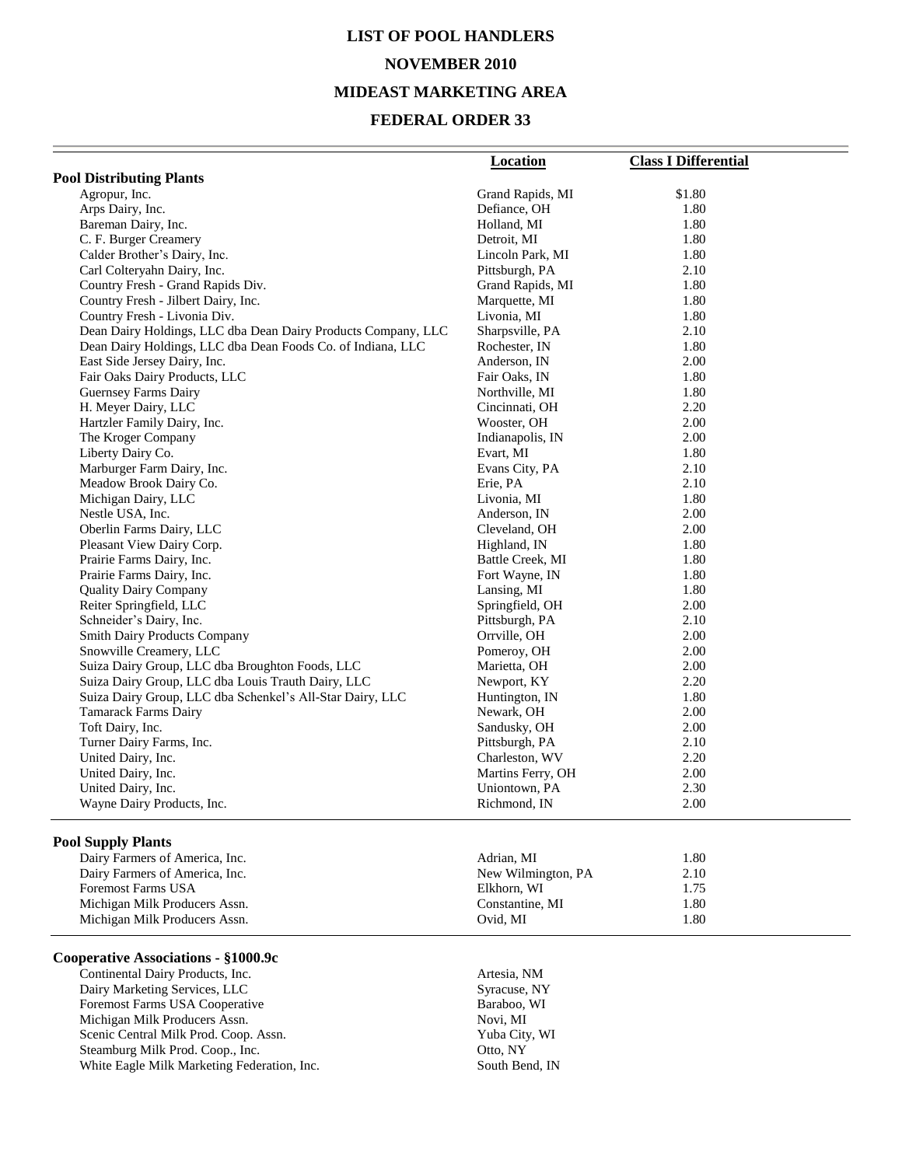# **LIST OF POOL HANDLERS NOVEMBER 2010 MIDEAST MARKETING AREA**

#### **FEDERAL ORDER 33**

|                                                               | <b>Location</b>   | <b>Class I Differential</b> |
|---------------------------------------------------------------|-------------------|-----------------------------|
| <b>Pool Distributing Plants</b>                               |                   |                             |
| Agropur, Inc.                                                 | Grand Rapids, MI  | \$1.80                      |
| Arps Dairy, Inc.                                              | Defiance, OH      | 1.80                        |
| Bareman Dairy, Inc.                                           | Holland, MI       | 1.80                        |
| C. F. Burger Creamery                                         | Detroit, MI       | 1.80                        |
| Calder Brother's Dairy, Inc.                                  | Lincoln Park, MI  | 1.80                        |
| Carl Colteryahn Dairy, Inc.                                   | Pittsburgh, PA    | 2.10                        |
| Country Fresh - Grand Rapids Div.                             | Grand Rapids, MI  | 1.80                        |
| Country Fresh - Jilbert Dairy, Inc.                           | Marquette, MI     | 1.80                        |
| Country Fresh - Livonia Div.                                  | Livonia, MI       | 1.80                        |
| Dean Dairy Holdings, LLC dba Dean Dairy Products Company, LLC | Sharpsville, PA   | 2.10                        |
| Dean Dairy Holdings, LLC dba Dean Foods Co. of Indiana, LLC   | Rochester, IN     | 1.80                        |
| East Side Jersey Dairy, Inc.                                  | Anderson, IN      | 2.00                        |
| Fair Oaks Dairy Products, LLC                                 | Fair Oaks, IN     | 1.80                        |
| Guernsey Farms Dairy                                          | Northville, MI    | 1.80                        |
| H. Meyer Dairy, LLC                                           | Cincinnati, OH    | 2.20                        |
| Hartzler Family Dairy, Inc.                                   | Wooster, OH       | 2.00                        |
| The Kroger Company                                            | Indianapolis, IN  | 2.00                        |
| Liberty Dairy Co.                                             | Evart, MI         | 1.80                        |
| Marburger Farm Dairy, Inc.                                    | Evans City, PA    | 2.10                        |
| Meadow Brook Dairy Co.                                        | Erie, PA          | 2.10                        |
| Michigan Dairy, LLC                                           | Livonia, MI       | 1.80                        |
| Nestle USA, Inc.                                              | Anderson, IN      | 2.00                        |
| Oberlin Farms Dairy, LLC                                      | Cleveland, OH     | 2.00                        |
| Pleasant View Dairy Corp.                                     | Highland, IN      | 1.80                        |
| Prairie Farms Dairy, Inc.                                     | Battle Creek, MI  | 1.80                        |
| Prairie Farms Dairy, Inc.                                     | Fort Wayne, IN    | 1.80                        |
| <b>Quality Dairy Company</b>                                  | Lansing, MI       | 1.80                        |
| Reiter Springfield, LLC                                       | Springfield, OH   | 2.00                        |
| Schneider's Dairy, Inc.                                       | Pittsburgh, PA    | 2.10                        |
| <b>Smith Dairy Products Company</b>                           | Orrville, OH      | 2.00                        |
| Snowville Creamery, LLC                                       | Pomeroy, OH       | 2.00                        |
| Suiza Dairy Group, LLC dba Broughton Foods, LLC               | Marietta, OH      | 2.00                        |
| Suiza Dairy Group, LLC dba Louis Trauth Dairy, LLC            | Newport, KY       | 2.20                        |
| Suiza Dairy Group, LLC dba Schenkel's All-Star Dairy, LLC     | Huntington, IN    | 1.80                        |
| <b>Tamarack Farms Dairy</b>                                   | Newark, OH        | 2.00                        |
| Toft Dairy, Inc.                                              | Sandusky, OH      | 2.00                        |
| Turner Dairy Farms, Inc.                                      | Pittsburgh, PA    | 2.10                        |
| United Dairy, Inc.                                            | Charleston, WV    | 2.20                        |
| United Dairy, Inc.                                            | Martins Ferry, OH | 2.00                        |
| United Dairy, Inc.                                            | Uniontown, PA     | 2.30                        |
| Wayne Dairy Products, Inc.                                    | Richmond, IN      | 2.00                        |

#### **Pool Supply Plants**

| Adrian. MI         | 1.80 |
|--------------------|------|
| New Wilmington, PA | 2.10 |
| Elkhorn, WI        | 1.75 |
| Constantine, MI    | 1.80 |
| Ovid. MI           | 1.80 |
|                    |      |

#### **Cooperative Associations - §1000.9c**

Continental Dairy Products, Inc.<br>
Dairy Marketing Services, LLC<br>
Syracuse, NY Dairy Marketing Services, LLC<br>
Foremost Farms USA Cooperative Baraboo, WI Foremost Farms USA Cooperative Baraboo, Baraboo, Nichigan Milk Producers Assn. Novi, MI Michigan Milk Producers Assn. Scenic Central Milk Prod. Coop. Assn. Yuba City, WI Steamburg Milk Prod. Coop., Inc. 0tto, NY White Eagle Milk Marketing Federation, Inc. South Bend, IN